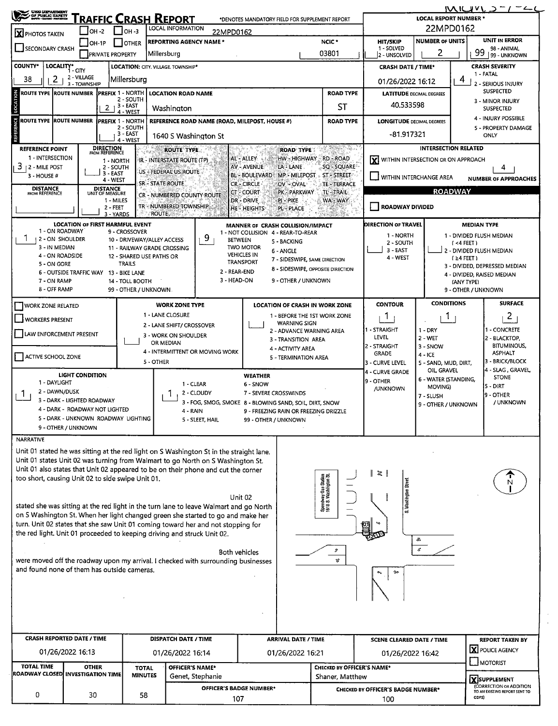| UNGO LIEPANTMENT<br>OF PUBLIC SAFETY<br>NATITE LIEUEL FRIEDDIG                                                                                                            |                                                                       |                                                 |                                         | [raffic Crash Report                                                                                                                                        |                  | *DENOTES MANDATORY FIELD FOR SUPPLEMENT REPORT                                   |                                                |                                                | LOCAL REPORT NUMBER *              |                                           | $MUUVL \supset T/T$                                         |
|---------------------------------------------------------------------------------------------------------------------------------------------------------------------------|-----------------------------------------------------------------------|-------------------------------------------------|-----------------------------------------|-------------------------------------------------------------------------------------------------------------------------------------------------------------|------------------|----------------------------------------------------------------------------------|------------------------------------------------|------------------------------------------------|------------------------------------|-------------------------------------------|-------------------------------------------------------------|
| X PHOTOS TAKEN                                                                                                                                                            |                                                                       | $I$ OH -2                                       | $I$ OH -3                               | <b>LOCAL INFORMATION</b>                                                                                                                                    | 22MPD0162        |                                                                                  |                                                |                                                | 22MPD0162                          |                                           |                                                             |
| SECONDARY CRASH                                                                                                                                                           |                                                                       | _] OH-1P<br><b>PRIVATE PROPERTY</b>             | JOTHER                                  | <b>REPORTING AGENCY NAME *</b><br>Millersburg                                                                                                               |                  |                                                                                  | NCIC <sup>*</sup><br>03801                     | <b>HIT/SKIP</b><br>1 - SOLVED<br>2 - UNSOLVED  | <b>NUMBER OF UNITS</b><br>2        | 99                                        | <b>UNIT IN ERROR</b><br>98 - ANIMAL<br>99 - UNKNOWN         |
| <b>COUNTY*</b>                                                                                                                                                            | LOCALITY* CITY                                                        |                                                 |                                         | LOCATION: CITY. VILLAGE. TOWNSHIP*                                                                                                                          |                  |                                                                                  |                                                | <b>CRASH DATE / TIME*</b>                      |                                    |                                           | <b>CRASH SEVERITY</b>                                       |
| 2<br>38                                                                                                                                                                   | 2 - VILLAGE<br>3 - TOWNSHIP                                           |                                                 | Millersburg                             |                                                                                                                                                             |                  |                                                                                  |                                                | 01/26/2022 16:12                               |                                    | 4                                         | 1 - FATAL<br>2 - SERIOUS INJURY                             |
| <b>ROUTE TYPE ROUTE NUMBER</b>                                                                                                                                            |                                                                       | <b>IPREFIX 1 - NORTH</b>                        | 2 - SOUTH                               | <b>LOCATION ROAD NAME</b>                                                                                                                                   |                  |                                                                                  | <b>ROAD TYPE</b>                               | <b>LATITUDE DECIMAL DEGREES</b>                |                                    |                                           | <b>SUSPECTED</b><br>3 - MINOR INJURY                        |
|                                                                                                                                                                           |                                                                       | $2 + 3 - EAST$                                  | 4 - WEST                                | Washington                                                                                                                                                  |                  |                                                                                  | ST                                             | 40.533598                                      |                                    |                                           | <b>SUSPECTED</b><br>4 - INJURY POSSIBLE                     |
| <b>ROUTE TYPE ROUTE NUMBER</b>                                                                                                                                            |                                                                       | <b>IPREFIX 1 - NORTH</b>                        | 2 - SOUTH<br>3 - EAST                   | 1640 S Washington St                                                                                                                                        |                  | REFERENCE ROAD NAME (ROAD, MILEPOST, HOUSE #)                                    | <b>ROAD TYPE</b>                               | <b>LONGITUDE DECIMAL DEGREES</b><br>-81.917321 |                                    |                                           | 5 - PROPERTY DAMAGE<br>ONLY                                 |
| <b>REFERENCE POINT</b>                                                                                                                                                    |                                                                       | <b>DIRECTION</b><br>FROM REFERENCE              | 4 - WEST                                | <b>ROUTE TYPE</b>                                                                                                                                           |                  | <b>ROAD TYPE</b>                                                                 | French a                                       |                                                | <b>INTERSECTION RELATED</b>        |                                           |                                                             |
| 1 - INTERSECTION<br>3<br>2 - Mile Post                                                                                                                                    |                                                                       | 1 - NORTH<br>2 - SOUTH                          |                                         | IR - INTERSTATE ROUTE (TP)                                                                                                                                  |                  | AL - ALLEY<br>HW - HIGHWAY<br><b>AV - AVENUE</b><br>LA - LANE                    | <b>RD - ROAD</b><br><b>SQ - SQUARE</b>         | WITHIN INTERSECTION OR ON APPROACH             |                                    |                                           | 4                                                           |
| 3 HOUSE#                                                                                                                                                                  |                                                                       | 3 EAST<br>4 - WEST                              |                                         | US - FEDERAL US ROUTE<br><b>SR - STATE ROUTE</b>                                                                                                            |                  | <b>BL - BOULEVARD</b><br><b>MP - MILEPOST</b><br><b>CR-CIRCLE</b><br>OV - OVAL   | ST - STREET<br><b>TE - TERRACE</b>             | $\perp$ WITHIN INTERCHANGE AREA                |                                    |                                           | <b>NUMBER OF APPROACHES</b>                                 |
| <b>DISTANCE</b><br><b>FROM REFERENCE</b>                                                                                                                                  |                                                                       | <b>DISTANCE</b><br>UNIT OF MEASURE<br>1 - MILES |                                         | <b>CR - NUMBERED COUNTY ROUTE</b>                                                                                                                           |                  | CT - COURT<br>PK - PARKWAY<br>DR - DRIVE<br>PI - PIKE                            | TE TRAIL.<br>WA - WAY                          |                                                |                                    | <b>ROADWAY</b>                            |                                                             |
|                                                                                                                                                                           |                                                                       | $2 - FEET$<br>3 - YARDS                         |                                         | TR - NUMBERED TOWNSHIP<br><b>ROUTE</b>                                                                                                                      |                  | <b>HE-HEIGHTS</b><br>PL - PLACE                                                  |                                                | ROADWAY DIVIDED                                |                                    |                                           |                                                             |
| 1 - ON ROADWAY                                                                                                                                                            | <b>LOCATION OF FIRST HARMFUL EVENT</b>                                |                                                 | 9 - CROSSOVER                           |                                                                                                                                                             |                  | MANNER OF CRASH COLLISION/IMPACT<br>1 - NOT COLLISION 4 - REAR-TO-REAR           |                                                | DIRECTION OF TRAVEL                            |                                    | <b>MEDIAN TYPE</b>                        |                                                             |
| ı<br><b>2 - ON SHOULDER</b><br>3 - IN MEDIAN                                                                                                                              |                                                                       |                                                 |                                         | 10 - DRIVEWAY/ALLEY ACCESS<br>11 - RAILWAY GRADE CROSSING                                                                                                   | 9                | <b>BETWEEN</b><br>5 - BACKING<br><b>TWO MOTOR</b>                                |                                                | 1 - NORTH<br>2 - SOUTH                         |                                    | $($ <4 FEET)                              | 1 - DIVIDED FLUSH MEDIAN                                    |
| 4 - ON ROADSIDE<br>5 - ON GORE                                                                                                                                            |                                                                       |                                                 | <b>TRAILS</b>                           | 12 - SHARED USE PATHS OR                                                                                                                                    |                  | 6 - ANGLE<br><b>VEHICLES IN</b><br>7 - SIDESWIPE, SAME DIRECTION<br>TRANSPORT    |                                                | 3 - EAST<br>4 - WEST                           |                                    | $(24$ FEET)                               | 2 - DIVIDED FLUSH MEDIAN                                    |
|                                                                                                                                                                           | 6 - OUTSIDE TRAFFIC WAY 13 - BIKE LANE                                |                                                 |                                         |                                                                                                                                                             |                  | 8 - SIDESWIPE, OPPOSITE DIRECTION<br>2 - REAR-END                                |                                                |                                                |                                    |                                           | 3 - DIVIDED, DEPRESSED MEDIAN<br>4 - DIVIDED, RAISED MEDIAN |
| 7 - ON RAMP<br>8 - OFF RAMP                                                                                                                                               |                                                                       |                                                 | 14 - TOLL BOOTH<br>99 - OTHER / UNKNOWN |                                                                                                                                                             |                  | 3 - HEAD-ON<br>9 - OTHER / UNKNOWN                                               |                                                |                                                |                                    | (ANY TYPE)<br>9 - OTHER / UNKNOWN         |                                                             |
| WORK ZONE RELATED                                                                                                                                                         |                                                                       |                                                 |                                         | <b>WORK ZONE TYPE</b>                                                                                                                                       |                  | LOCATION OF CRASH IN WORK ZONE                                                   |                                                | <b>CONTOUR</b>                                 | <b>CONDITIONS</b>                  |                                           | <b>SURFACE</b>                                              |
| $\blacksquare$ WORKERS PRESENT                                                                                                                                            |                                                                       |                                                 |                                         | 1 - LANE CLOSURE<br>2 - LANE SHIFT/ CROSSOVER                                                                                                               |                  | 1 - BEFORE THE 1ST WORK ZONE<br><b>WARNING SIGN</b>                              |                                                | 1                                              | 1                                  |                                           | $\overline{c}$                                              |
| LAW ENFORCEMENT PRESENT                                                                                                                                                   |                                                                       |                                                 |                                         | 3 - WORK ON SHOULDER<br>OR MEDIAN                                                                                                                           |                  | 2 - ADVANCE WARNING AREA<br>3 - TRANSITION AREA                                  |                                                | - STRAIGHT<br>LEVEL                            | $1 - DRY$<br>2 - WET               |                                           | 1 - CONCRETE<br>2 - BLACKTOP,                               |
| ACTIVE SCHOOL ZONE                                                                                                                                                        |                                                                       |                                                 |                                         | 4 - INTERMITTENT OR MOVING WORK                                                                                                                             |                  | 4 - ACTIVITY AREA<br>5 - TERMINATION AREA                                        |                                                | 2 - STRAIGHT<br><b>GRADE</b>                   | 3 - SNOW<br>$4 - ICE$              |                                           | <b>BITUMINOUS,</b><br><b>ASPHALT</b>                        |
|                                                                                                                                                                           | <b>LIGHT CONDITION</b>                                                |                                                 |                                         | 5 - OTHER                                                                                                                                                   |                  | <b>WEATHER</b>                                                                   |                                                | 3 - CURVE LEVEL<br>4 - CURVE GRADE             | 5 - SAND, MUD, DIRT,<br>OIL GRAVEL |                                           | 3 - BRICK/BLOCK<br>4 - SLAG , GRAVEL,                       |
| 1 - DAYLIGHT<br>2 - DAWN/DUSK                                                                                                                                             |                                                                       |                                                 |                                         |                                                                                                                                                             | 1 - CLEAR        | 6 - SNOW                                                                         |                                                | 9 - OTHER<br><b>/UNKNOWN</b>                   | 6 - WATER (STANDING,<br>MOVING)    |                                           | <b>STONE</b><br>5 - DIRT                                    |
|                                                                                                                                                                           | 3 - DARK - LIGHTED ROADWAY                                            |                                                 |                                         |                                                                                                                                                             | 2 - CLOUDY       | 7 - SEVERE CROSSWINDS<br>3 - FOG, SMOG, SMOKE 8 - BLOWING SAND, SOIL, DIRT, SNOW |                                                |                                                | 7 - SLUSH<br>9 - OTHER / UNKNOWN   |                                           | 9 - OTHER<br>/ UNKNOWN                                      |
|                                                                                                                                                                           | 4 - DARK - ROADWAY NOT LIGHTED<br>5 - DARK - UNKNOWN ROADWAY LIGHTING |                                                 |                                         | 4 - RAIN                                                                                                                                                    | 5 - SLEET, HAIL  | 9 - FREEZING RAIN OR FREEZING DRIZZLE<br>99 - OTHER / UNKNOWN                    |                                                |                                                |                                    |                                           |                                                             |
| <b>NARRATIVE</b>                                                                                                                                                          | 9 - OTHER / UNKNOWN                                                   |                                                 |                                         |                                                                                                                                                             |                  |                                                                                  |                                                |                                                |                                    |                                           |                                                             |
| Unit 01 stated he was sitting at the red light on S Washington St in the straight lane.                                                                                   |                                                                       |                                                 |                                         |                                                                                                                                                             |                  |                                                                                  |                                                |                                                |                                    |                                           |                                                             |
| Unit 01 states Unit 02 was turning from Walmart to go North on S Washington St.<br>Unit 01 also states that Unit 02 appeared to be on their phone and cut the corner      |                                                                       |                                                 |                                         |                                                                                                                                                             |                  |                                                                                  |                                                |                                                |                                    |                                           |                                                             |
| too short, causing Unit 02 to side swipe Unit 01.                                                                                                                         |                                                                       |                                                 |                                         |                                                                                                                                                             |                  |                                                                                  |                                                | $\approx$ 1                                    |                                    |                                           | N                                                           |
|                                                                                                                                                                           |                                                                       |                                                 |                                         |                                                                                                                                                             |                  | Unit 02                                                                          | Speedway Gas Station<br>1618 S. Washington St. | S. Washington                                  |                                    |                                           |                                                             |
| stated she was sitting at the red light in the turn lane to leave Walmart and go North<br>on S Washington St. When her light changed green she started to go and make her |                                                                       |                                                 |                                         |                                                                                                                                                             |                  |                                                                                  |                                                |                                                |                                    |                                           |                                                             |
|                                                                                                                                                                           |                                                                       |                                                 |                                         | turn. Unit 02 states that she saw Unit 01 coming toward her and not stopping for<br>the red light. Unit 01 proceeded to keeping driving and struck Unit 02. |                  |                                                                                  |                                                |                                                |                                    |                                           |                                                             |
|                                                                                                                                                                           |                                                                       |                                                 |                                         |                                                                                                                                                             |                  | Both vehicles                                                                    | I                                              |                                                | £.                                 |                                           |                                                             |
| were moved off the roadway upon my arrival. I checked with surrounding businesses<br>and found none of them has outside cameras.                                          |                                                                       |                                                 |                                         |                                                                                                                                                             |                  |                                                                                  | 2                                              |                                                |                                    |                                           |                                                             |
|                                                                                                                                                                           |                                                                       |                                                 |                                         |                                                                                                                                                             |                  |                                                                                  |                                                | <b>De</b>                                      |                                    |                                           |                                                             |
|                                                                                                                                                                           |                                                                       |                                                 |                                         |                                                                                                                                                             |                  |                                                                                  |                                                |                                                |                                    |                                           |                                                             |
|                                                                                                                                                                           |                                                                       |                                                 |                                         |                                                                                                                                                             |                  |                                                                                  |                                                |                                                |                                    |                                           |                                                             |
|                                                                                                                                                                           |                                                                       |                                                 |                                         |                                                                                                                                                             |                  |                                                                                  |                                                |                                                |                                    |                                           |                                                             |
| <b>CRASH REPORTED DATE / TIME</b>                                                                                                                                         | 01/26/2022 16:13                                                      |                                                 |                                         | <b>DISPATCH DATE / TIME</b>                                                                                                                                 |                  | <b>ARRIVAL DATE / TIME</b>                                                       |                                                | <b>SCENE CLEARED DATE / TIME</b>               |                                    | <b>REPORT TAKEN BY</b><br>X POLICE AGENCY |                                                             |
| <b>TOTAL TIME</b>                                                                                                                                                         | <b>OTHER</b>                                                          |                                                 | <b>TOTAL</b>                            | 01/26/2022 16:14<br><b>OFFICER'S NAME*</b>                                                                                                                  |                  | 01/26/2022 16:21                                                                 | CHECKED BY OFFICER'S NAME*                     | 01/26/2022 16:42                               |                                    |                                           | MOTORIST                                                    |
| ROADWAY CLOSED INVESTIGATION TIME                                                                                                                                         |                                                                       |                                                 | <b>MINUTES</b>                          |                                                                                                                                                             | Genet, Stephanie |                                                                                  | Shaner, Matthew                                |                                                |                                    |                                           | XSUPPLEMENT                                                 |
| 0                                                                                                                                                                         | 30                                                                    |                                                 | 58                                      |                                                                                                                                                             |                  | <b>OFFICER'S BADGE NUMBER*</b><br>107                                            |                                                | CHECKED BY OFFICER'S BADGE NUMBER*             |                                    | ODPS)                                     | (CORRECTION OR ADDITION<br>TO AN EXISTING REPORT SENT TO    |
|                                                                                                                                                                           |                                                                       |                                                 |                                         |                                                                                                                                                             |                  |                                                                                  |                                                | 100                                            |                                    |                                           |                                                             |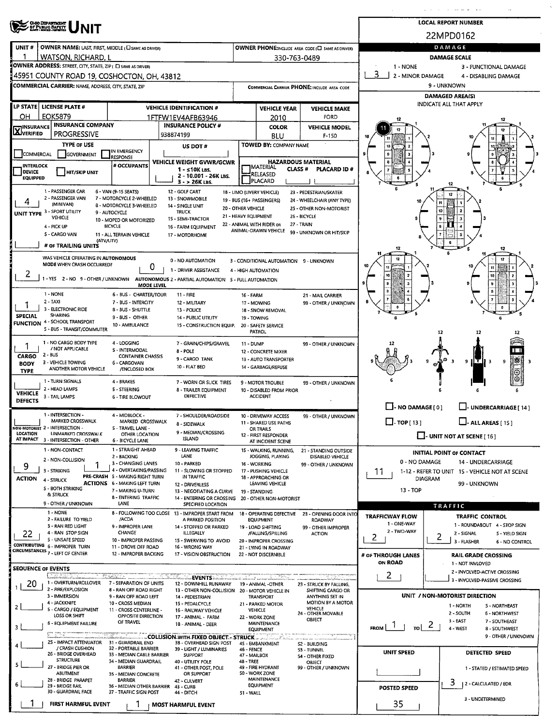| <b>LOCAL REPORT NUMBER</b><br><b>OHO DEPARTMENT</b><br>OF PUBLIC BAFETY<br>22MPD0162<br><b>DAMAGE</b><br>UNIT#<br>OWNER NAME: LAST, FIRST, MIDDLE ( C SAME AS DRIVER)<br>OWNER PHONE; INCLUDE AREA CODE (C) SAME AS DRIVERY<br>WATSON. RICHARD. L<br><b>DAMAGE SCALE</b><br>330-763-0489<br>OWNER ADDRESS: STREET, CITY, STATE, ZIP ( C) SAME AS DRIVER)<br>1 - NONE<br>3 - FUNCTIONAL DAMAGE<br>3<br>2 - MINOR DAMAGE<br>45951 COUNTY ROAD 19, COSHOCTON, OH, 43812<br>4 - DISABLING DAMAGE<br>9 - UNKNOWN<br><b>COMMERCIAL CARRIER: NAME, ADDRESS, CITY, STATE, ZIP</b><br>COMMERCIAL CARRIER PHONE: INCLUDE AREA CODE<br><b>DAMAGED AREA(S)</b><br>INDICATE ALL THAT APPLY<br>LP STATE   LICENSE PLATE #<br><b>VEHICLE IDENTIFICATION #</b><br><b>VEHICLE YEAR</b><br><b>VEHICLE MAKE</b><br><b>EOK5879</b><br>OН<br><b>FORD</b><br>1FTFW1EV4AFB63946<br>2010<br><b>INSURANCE COMPANY</b><br><b>INSURANCE POLICY #</b><br><b>TINSURANCE</b><br><b>COLOR</b><br><b>VEHICLE MODEL</b><br><b>LAJ</b> VERIFIED<br><b>PROGRESSIVE</b><br>938874199<br><b>BLU</b><br>$F-150$<br><b>TYPE OF USE</b><br><b>TOWED BY: COMPANY NAME</b><br>US DOT #<br>IN EMERGENCY<br><b>COMMERCIAL</b><br>GOVERNMENT<br><b>RESPONSE</b><br><b>HAZARDOUS MATERIAL</b><br>VEHICLE WEIGHT GVWR/GCWR<br># OCCUPANTS<br><b>INTERLOCK</b><br><b>I</b> MATERIAL<br><b>CLASS#</b><br><b>PLACARD ID#</b><br>$1 - 510K$ LBS.<br><b>DEVICE</b><br><b>HIT/SKIP UNIT</b><br>RELEASED<br>2 10.001 - 26K LBS.<br><b>EQUIPPED</b><br>PLACARD<br>$3 - 26K$ LBS.<br>1 - PASSENGER CAR<br>6 - VAN (9-15 SEATS)<br>12 - GOLF CART<br>18 - LIMO (LIVERY VEHICLE)<br>23 - PEDESTRIAN/SKATER<br>2 - PASSENGER VAN<br>7 - MOTORCYCLE 2-WHEELED<br>13 - SNOWMOBILE<br>19 - BUS (16+ PASSENGERS)<br>24 - WHEELCHAIR (ANY TYPE)<br>(MINIVAN)<br>8 - MOTORCYCLE 3-WHEELED<br>14 - SINGLE UNIT<br>20 - OTHER VEHICLE<br>25 - OTHER NON-MOTORIST<br>UNIT TYPE 3 - SPORT UTILITY<br><b>TRUCK</b><br>9 - AUTOCYCLE<br>21 - HEAVY EQUIPMENT<br>26 - BICYCLE<br>VEHICLE<br>15 - SEMI-TRACTOR<br>10 - MOPED OR MOTORIZED<br>22 - ANIMAL WITH RIDER OR<br>27 - TRAIN<br><b>BICYCLE</b><br>4 - PICK UP<br>16 - FARM EQUIPMENT<br>ANIMAL-DRAWN VEHICLE<br>99 - UNKNOWN OR HIT/SKIP<br>5 - CARGO VAN<br>11 - ALL TERRAIN VEHICLE<br>17 - MOTORHOME<br>(ATV/UTV)<br># OF TRAILING UNITS<br>WAS VEHICLE OPERATING IN AUTONOMOUS<br>0 - NO AUTOMATION<br>3 - CONDITIONAL AUTOMATION 9 - UNKNOWN<br>MODE WHEN CRASH OCCURRED?<br>o<br>1 - DRIVER ASSISTANCE<br>4 - HIGH AUTOMATION<br>1 - YES 2 - NO 9 - OTHER / UNKNOWN AUTONOMOUS 2 - PARTIAL AUTOMATION 5 - FULL AUTOMATION<br>MODE LEVEL<br>1 - NONE<br>6 - BUS - CHARTER/TOUR<br>$11 - FIRE$<br>16 - FARM<br>21 - MAIL CARRIER<br>2 - TAXI<br>7 - BUS - INTERCITY<br>12 - MILITARY<br>99 - OTHER / UNKNOWN<br>17 - MOWING<br>3 - ELECTRONIC RIDE<br>8 - BUS - SHUTTLE<br>13 - POLICE<br>18 - SNOW REMOVAL<br><b>SHARING</b><br><b>SPECIAL</b><br>9 - BUS - OTHER<br><b>14 - PUBLIC UTILITY</b><br>19 - TOWING<br><b>FUNCTION 4 - SCHOOL TRANSPORT</b><br>10 - AMBULANCE<br>15 - CONSTRUCTION EQUIP.<br>20 - SAFETY SERVICE<br>5 - BUS - TRANSIT/COMMUTER<br>PATROL<br>12<br>1 - NO CARGO BODY TYPE<br>4 - LOGGING<br>7 - GRAIN/CHIPS/GRAVEL<br><b>11 - DUMP</b><br>99 - OTHER / UNKNOWN<br>/ NOT APPLICABLE<br>5 - INTERMODAL<br>8 - POLE<br>12 - CONCRETE MIXER<br>2 - BUS<br>CARGO<br><b>CONTAINER CHASSIS</b><br>9 - CARGO TANK<br>13 - AUTO TRANSPORTER<br>3 - VEHICLE TOWING<br>6 - CARGOVAN<br><b>BODY</b><br>10 - FLAT BED<br>14 - GARBAGE/REFUSE<br>ANOTHER MOTOR VEHICLE<br>/ENCLOSED BOX<br><b>TYPE</b><br>1 - TURN SIGNALS<br>4 - BRAKES<br>7 - WORN OR SLICK TIRES<br>9 - MOTOR TROUBLE<br>99 - OTHER / UNKNOWN<br>2 - HEAD LAMPS<br>5 - STEERING<br>8 - TRAILER EQUIPMENT<br>10 - DISABLED FROM PRIOR<br><b>VEHICLE</b><br>DEFECTIVE<br><b>ACCIDENT</b><br>3 - TAIL LAMPS<br><b>6 - TIRE BLOWOUT</b> |                                                                                                |
|--------------------------------------------------------------------------------------------------------------------------------------------------------------------------------------------------------------------------------------------------------------------------------------------------------------------------------------------------------------------------------------------------------------------------------------------------------------------------------------------------------------------------------------------------------------------------------------------------------------------------------------------------------------------------------------------------------------------------------------------------------------------------------------------------------------------------------------------------------------------------------------------------------------------------------------------------------------------------------------------------------------------------------------------------------------------------------------------------------------------------------------------------------------------------------------------------------------------------------------------------------------------------------------------------------------------------------------------------------------------------------------------------------------------------------------------------------------------------------------------------------------------------------------------------------------------------------------------------------------------------------------------------------------------------------------------------------------------------------------------------------------------------------------------------------------------------------------------------------------------------------------------------------------------------------------------------------------------------------------------------------------------------------------------------------------------------------------------------------------------------------------------------------------------------------------------------------------------------------------------------------------------------------------------------------------------------------------------------------------------------------------------------------------------------------------------------------------------------------------------------------------------------------------------------------------------------------------------------------------------------------------------------------------------------------------------------------------------------------------------------------------------------------------------------------------------------------------------------------------------------------------------------------------------------------------------------------------------------------------------------------------------------------------------------------------------------------------------------------------------------------------------------------------------------------------------------------------------------------------------------------------------------------------------------------------------------------------------------------------------------------------------------------------------------------------------------------------------------------------------------------------------------------------------------------------------------------------------------------------------------------------------------------------------------------------------------------------------------------------------------------------------------------------------------------------------------------------------------------------------------------------------------------|------------------------------------------------------------------------------------------------|
|                                                                                                                                                                                                                                                                                                                                                                                                                                                                                                                                                                                                                                                                                                                                                                                                                                                                                                                                                                                                                                                                                                                                                                                                                                                                                                                                                                                                                                                                                                                                                                                                                                                                                                                                                                                                                                                                                                                                                                                                                                                                                                                                                                                                                                                                                                                                                                                                                                                                                                                                                                                                                                                                                                                                                                                                                                                                                                                                                                                                                                                                                                                                                                                                                                                                                                                                                                                                                                                                                                                                                                                                                                                                                                                                                                                                                                                                                                        |                                                                                                |
|                                                                                                                                                                                                                                                                                                                                                                                                                                                                                                                                                                                                                                                                                                                                                                                                                                                                                                                                                                                                                                                                                                                                                                                                                                                                                                                                                                                                                                                                                                                                                                                                                                                                                                                                                                                                                                                                                                                                                                                                                                                                                                                                                                                                                                                                                                                                                                                                                                                                                                                                                                                                                                                                                                                                                                                                                                                                                                                                                                                                                                                                                                                                                                                                                                                                                                                                                                                                                                                                                                                                                                                                                                                                                                                                                                                                                                                                                                        |                                                                                                |
|                                                                                                                                                                                                                                                                                                                                                                                                                                                                                                                                                                                                                                                                                                                                                                                                                                                                                                                                                                                                                                                                                                                                                                                                                                                                                                                                                                                                                                                                                                                                                                                                                                                                                                                                                                                                                                                                                                                                                                                                                                                                                                                                                                                                                                                                                                                                                                                                                                                                                                                                                                                                                                                                                                                                                                                                                                                                                                                                                                                                                                                                                                                                                                                                                                                                                                                                                                                                                                                                                                                                                                                                                                                                                                                                                                                                                                                                                                        |                                                                                                |
|                                                                                                                                                                                                                                                                                                                                                                                                                                                                                                                                                                                                                                                                                                                                                                                                                                                                                                                                                                                                                                                                                                                                                                                                                                                                                                                                                                                                                                                                                                                                                                                                                                                                                                                                                                                                                                                                                                                                                                                                                                                                                                                                                                                                                                                                                                                                                                                                                                                                                                                                                                                                                                                                                                                                                                                                                                                                                                                                                                                                                                                                                                                                                                                                                                                                                                                                                                                                                                                                                                                                                                                                                                                                                                                                                                                                                                                                                                        |                                                                                                |
|                                                                                                                                                                                                                                                                                                                                                                                                                                                                                                                                                                                                                                                                                                                                                                                                                                                                                                                                                                                                                                                                                                                                                                                                                                                                                                                                                                                                                                                                                                                                                                                                                                                                                                                                                                                                                                                                                                                                                                                                                                                                                                                                                                                                                                                                                                                                                                                                                                                                                                                                                                                                                                                                                                                                                                                                                                                                                                                                                                                                                                                                                                                                                                                                                                                                                                                                                                                                                                                                                                                                                                                                                                                                                                                                                                                                                                                                                                        |                                                                                                |
|                                                                                                                                                                                                                                                                                                                                                                                                                                                                                                                                                                                                                                                                                                                                                                                                                                                                                                                                                                                                                                                                                                                                                                                                                                                                                                                                                                                                                                                                                                                                                                                                                                                                                                                                                                                                                                                                                                                                                                                                                                                                                                                                                                                                                                                                                                                                                                                                                                                                                                                                                                                                                                                                                                                                                                                                                                                                                                                                                                                                                                                                                                                                                                                                                                                                                                                                                                                                                                                                                                                                                                                                                                                                                                                                                                                                                                                                                                        |                                                                                                |
|                                                                                                                                                                                                                                                                                                                                                                                                                                                                                                                                                                                                                                                                                                                                                                                                                                                                                                                                                                                                                                                                                                                                                                                                                                                                                                                                                                                                                                                                                                                                                                                                                                                                                                                                                                                                                                                                                                                                                                                                                                                                                                                                                                                                                                                                                                                                                                                                                                                                                                                                                                                                                                                                                                                                                                                                                                                                                                                                                                                                                                                                                                                                                                                                                                                                                                                                                                                                                                                                                                                                                                                                                                                                                                                                                                                                                                                                                                        |                                                                                                |
|                                                                                                                                                                                                                                                                                                                                                                                                                                                                                                                                                                                                                                                                                                                                                                                                                                                                                                                                                                                                                                                                                                                                                                                                                                                                                                                                                                                                                                                                                                                                                                                                                                                                                                                                                                                                                                                                                                                                                                                                                                                                                                                                                                                                                                                                                                                                                                                                                                                                                                                                                                                                                                                                                                                                                                                                                                                                                                                                                                                                                                                                                                                                                                                                                                                                                                                                                                                                                                                                                                                                                                                                                                                                                                                                                                                                                                                                                                        |                                                                                                |
|                                                                                                                                                                                                                                                                                                                                                                                                                                                                                                                                                                                                                                                                                                                                                                                                                                                                                                                                                                                                                                                                                                                                                                                                                                                                                                                                                                                                                                                                                                                                                                                                                                                                                                                                                                                                                                                                                                                                                                                                                                                                                                                                                                                                                                                                                                                                                                                                                                                                                                                                                                                                                                                                                                                                                                                                                                                                                                                                                                                                                                                                                                                                                                                                                                                                                                                                                                                                                                                                                                                                                                                                                                                                                                                                                                                                                                                                                                        |                                                                                                |
|                                                                                                                                                                                                                                                                                                                                                                                                                                                                                                                                                                                                                                                                                                                                                                                                                                                                                                                                                                                                                                                                                                                                                                                                                                                                                                                                                                                                                                                                                                                                                                                                                                                                                                                                                                                                                                                                                                                                                                                                                                                                                                                                                                                                                                                                                                                                                                                                                                                                                                                                                                                                                                                                                                                                                                                                                                                                                                                                                                                                                                                                                                                                                                                                                                                                                                                                                                                                                                                                                                                                                                                                                                                                                                                                                                                                                                                                                                        |                                                                                                |
|                                                                                                                                                                                                                                                                                                                                                                                                                                                                                                                                                                                                                                                                                                                                                                                                                                                                                                                                                                                                                                                                                                                                                                                                                                                                                                                                                                                                                                                                                                                                                                                                                                                                                                                                                                                                                                                                                                                                                                                                                                                                                                                                                                                                                                                                                                                                                                                                                                                                                                                                                                                                                                                                                                                                                                                                                                                                                                                                                                                                                                                                                                                                                                                                                                                                                                                                                                                                                                                                                                                                                                                                                                                                                                                                                                                                                                                                                                        |                                                                                                |
|                                                                                                                                                                                                                                                                                                                                                                                                                                                                                                                                                                                                                                                                                                                                                                                                                                                                                                                                                                                                                                                                                                                                                                                                                                                                                                                                                                                                                                                                                                                                                                                                                                                                                                                                                                                                                                                                                                                                                                                                                                                                                                                                                                                                                                                                                                                                                                                                                                                                                                                                                                                                                                                                                                                                                                                                                                                                                                                                                                                                                                                                                                                                                                                                                                                                                                                                                                                                                                                                                                                                                                                                                                                                                                                                                                                                                                                                                                        |                                                                                                |
|                                                                                                                                                                                                                                                                                                                                                                                                                                                                                                                                                                                                                                                                                                                                                                                                                                                                                                                                                                                                                                                                                                                                                                                                                                                                                                                                                                                                                                                                                                                                                                                                                                                                                                                                                                                                                                                                                                                                                                                                                                                                                                                                                                                                                                                                                                                                                                                                                                                                                                                                                                                                                                                                                                                                                                                                                                                                                                                                                                                                                                                                                                                                                                                                                                                                                                                                                                                                                                                                                                                                                                                                                                                                                                                                                                                                                                                                                                        |                                                                                                |
|                                                                                                                                                                                                                                                                                                                                                                                                                                                                                                                                                                                                                                                                                                                                                                                                                                                                                                                                                                                                                                                                                                                                                                                                                                                                                                                                                                                                                                                                                                                                                                                                                                                                                                                                                                                                                                                                                                                                                                                                                                                                                                                                                                                                                                                                                                                                                                                                                                                                                                                                                                                                                                                                                                                                                                                                                                                                                                                                                                                                                                                                                                                                                                                                                                                                                                                                                                                                                                                                                                                                                                                                                                                                                                                                                                                                                                                                                                        |                                                                                                |
|                                                                                                                                                                                                                                                                                                                                                                                                                                                                                                                                                                                                                                                                                                                                                                                                                                                                                                                                                                                                                                                                                                                                                                                                                                                                                                                                                                                                                                                                                                                                                                                                                                                                                                                                                                                                                                                                                                                                                                                                                                                                                                                                                                                                                                                                                                                                                                                                                                                                                                                                                                                                                                                                                                                                                                                                                                                                                                                                                                                                                                                                                                                                                                                                                                                                                                                                                                                                                                                                                                                                                                                                                                                                                                                                                                                                                                                                                                        | 寨<br>9                                                                                         |
| <b>DEFECTS</b><br>L. - NO DAMAGE [0]<br>LI-UNDERCARRIAGE [ 14 ]                                                                                                                                                                                                                                                                                                                                                                                                                                                                                                                                                                                                                                                                                                                                                                                                                                                                                                                                                                                                                                                                                                                                                                                                                                                                                                                                                                                                                                                                                                                                                                                                                                                                                                                                                                                                                                                                                                                                                                                                                                                                                                                                                                                                                                                                                                                                                                                                                                                                                                                                                                                                                                                                                                                                                                                                                                                                                                                                                                                                                                                                                                                                                                                                                                                                                                                                                                                                                                                                                                                                                                                                                                                                                                                                                                                                                                        |                                                                                                |
| 1 - INTERSECTION -<br>4 - MIDBLOCK -<br>7 - SHOULDER/ROADSIDE<br>10 - DRIVEWAY ACCESS<br>99 - OTHER / UNKNOWN<br>$\Box$ TOP [13]<br>$\Box$ - ALL AREAS [ 15 ]<br>MARKED CROSSWALK<br>MARKED CROSSWALK<br>11 - SHARED USE PATHS                                                                                                                                                                                                                                                                                                                                                                                                                                                                                                                                                                                                                                                                                                                                                                                                                                                                                                                                                                                                                                                                                                                                                                                                                                                                                                                                                                                                                                                                                                                                                                                                                                                                                                                                                                                                                                                                                                                                                                                                                                                                                                                                                                                                                                                                                                                                                                                                                                                                                                                                                                                                                                                                                                                                                                                                                                                                                                                                                                                                                                                                                                                                                                                                                                                                                                                                                                                                                                                                                                                                                                                                                                                                         |                                                                                                |
| 8 - SIDEWALK<br>NON-MOTORIST 2 - INTERSECTION -<br>5 - TRAVEL LANE -<br>OR TRAILS<br>9 - MEDIAN/CROSSING<br><b>LOCATION</b><br>UNMARKED CROSSWALK<br>OTHER LOCATION<br>12 - FIRST RESPONDER<br>$\Box$ - UNIT NOT AT SCENE [ 16 ]<br><b>ISLAND</b><br>AT IMPACT<br>3 - INTERSECTION - OTHER<br>6 - BICYCLE LANE<br>AT INCIDENT SCENE                                                                                                                                                                                                                                                                                                                                                                                                                                                                                                                                                                                                                                                                                                                                                                                                                                                                                                                                                                                                                                                                                                                                                                                                                                                                                                                                                                                                                                                                                                                                                                                                                                                                                                                                                                                                                                                                                                                                                                                                                                                                                                                                                                                                                                                                                                                                                                                                                                                                                                                                                                                                                                                                                                                                                                                                                                                                                                                                                                                                                                                                                                                                                                                                                                                                                                                                                                                                                                                                                                                                                                    |                                                                                                |
| 1 - STRAIGHT AHEAD<br>1 - NON-CONTACT<br>9 - LEAVING TRAFFIC<br>15 - WALKING, RUNNING,<br>21 - STANDING OUTSIDE<br><b>INITIAL POINT OF CONTACT</b><br>LANE<br>2 - BACKING<br>JOGGING, PLAYING<br>DISABLED VEHICLE<br>2 - NON-COLLISION<br>0 - NO DAMAGE<br>14 - UNDERCARRIAGE<br>3 - CHANGING LANES<br>10 - PARKED<br>16 - WORKING<br>99 - OTHER / UNKNOWN<br>9<br>4 - OVERTAKING/PASSING<br>3 - STRIKING<br>11 - SLOWING OR STOPPED<br>17 - PUSHING VEHICLE<br>1-12 - REFER TO UNIT 15 - VEHICLE NOT AT SCENE<br>11<br>PRE-CRASH 5 - MAKING RIGHT TURN<br>IN TRAFFIC<br>18 - APPROACHING OR<br><b>ACTION</b><br><b>DIAGRAM</b><br>4 - STRUCK<br><b>ACTIONS 6 - MAKING LEFT TURN</b><br>LEAVING VEHICLE<br>99 - UNKNOWN<br>12 - DRIVERLESS<br>5 - BOTH STRIKING<br>13 - TOP<br>7 - MAKING U-TURN<br>13 - NEGOTIATING A CURVE<br>19 - STANDING<br>& STRUCK<br>8 - ENTERING TRAFFIC<br>14 - ENTERING OR CROSSING<br>20 - OTHER NON-MOTORIST<br>9 - OTHER / UNKNOWN<br>LANE<br>SPECIFIED LOCATION<br><b>TRAFFIC</b>                                                                                                                                                                                                                                                                                                                                                                                                                                                                                                                                                                                                                                                                                                                                                                                                                                                                                                                                                                                                                                                                                                                                                                                                                                                                                                                                                                                                                                                                                                                                                                                                                                                                                                                                                                                                                                                                                                                                                                                                                                                                                                                                                                                                                                                                                                                                                                                                                                                                                                                                                                                                                                                                                                                                                                                                                                                                                       |                                                                                                |
| 1 - NONE<br>8 - FOLLOWING TOO CLOSE 13 - IMPROPER START FROM<br>18 - OPERATING DEFECTIVE<br>23 - OPENING DOOR INTO<br><b>TRAFFICWAY FLOW</b><br>TRAFFIC CONTROL<br>2 - FAILURE TO YIELD<br>/ACDA<br>A PARKED POSITION<br><b>EQUIPMENT</b><br>ROADWAY                                                                                                                                                                                                                                                                                                                                                                                                                                                                                                                                                                                                                                                                                                                                                                                                                                                                                                                                                                                                                                                                                                                                                                                                                                                                                                                                                                                                                                                                                                                                                                                                                                                                                                                                                                                                                                                                                                                                                                                                                                                                                                                                                                                                                                                                                                                                                                                                                                                                                                                                                                                                                                                                                                                                                                                                                                                                                                                                                                                                                                                                                                                                                                                                                                                                                                                                                                                                                                                                                                                                                                                                                                                   |                                                                                                |
| 1 - ONE-WAY<br>1 - ROUNDABOUT 4 - STOP SIGN<br>3 - RAN RED LIGHT<br>9 - IMPROPER LANE<br>14 - STOPPED OR PARKED<br>19 - LOAD SHIFTING<br>99 - OTHER IMPROPER<br>2 - TWO-WAY<br>CHANGE<br>4 - RAN STOP SIGN<br>22<br>ILLEGALLY<br>2 - SIGNAL<br>/FALLING/SPILLING<br><b>ACTION</b>                                                                                                                                                                                                                                                                                                                                                                                                                                                                                                                                                                                                                                                                                                                                                                                                                                                                                                                                                                                                                                                                                                                                                                                                                                                                                                                                                                                                                                                                                                                                                                                                                                                                                                                                                                                                                                                                                                                                                                                                                                                                                                                                                                                                                                                                                                                                                                                                                                                                                                                                                                                                                                                                                                                                                                                                                                                                                                                                                                                                                                                                                                                                                                                                                                                                                                                                                                                                                                                                                                                                                                                                                      | 5 - YIELD SIGN                                                                                 |
| 2<br>$\mathbf{2}$<br>5 - UNSAFE SPEED<br>10 - IMPROPER PASSING<br>15 - SWERVING TO AVOID<br>20 - IMPROPER CROSSING<br>3 - FLASHER<br><b>CONTRIBUTING 6 - IMPROPER TURN</b><br>11 - DROVE OFF ROAD<br>16 - WRONG WAY<br>21 - LYING IN ROADWAY                                                                                                                                                                                                                                                                                                                                                                                                                                                                                                                                                                                                                                                                                                                                                                                                                                                                                                                                                                                                                                                                                                                                                                                                                                                                                                                                                                                                                                                                                                                                                                                                                                                                                                                                                                                                                                                                                                                                                                                                                                                                                                                                                                                                                                                                                                                                                                                                                                                                                                                                                                                                                                                                                                                                                                                                                                                                                                                                                                                                                                                                                                                                                                                                                                                                                                                                                                                                                                                                                                                                                                                                                                                           | 6 - NO CONTROL                                                                                 |
| CIRCUMSTANCES 7 - LEFT OF CENTER<br>12 - IMPROPER BACKING<br>17 - VISION OBSTRUCTION<br>22 - NOT DISCERNIBLE<br># OF THROUGH LANES<br><b>RAIL GRADE CROSSING</b><br>ON ROAD                                                                                                                                                                                                                                                                                                                                                                                                                                                                                                                                                                                                                                                                                                                                                                                                                                                                                                                                                                                                                                                                                                                                                                                                                                                                                                                                                                                                                                                                                                                                                                                                                                                                                                                                                                                                                                                                                                                                                                                                                                                                                                                                                                                                                                                                                                                                                                                                                                                                                                                                                                                                                                                                                                                                                                                                                                                                                                                                                                                                                                                                                                                                                                                                                                                                                                                                                                                                                                                                                                                                                                                                                                                                                                                            |                                                                                                |
| 1 - NOT INVLOVED<br><b>SEQUENCE OF EVENTS</b><br>2 - INVOLVED-ACTIVE CROSSING<br>2                                                                                                                                                                                                                                                                                                                                                                                                                                                                                                                                                                                                                                                                                                                                                                                                                                                                                                                                                                                                                                                                                                                                                                                                                                                                                                                                                                                                                                                                                                                                                                                                                                                                                                                                                                                                                                                                                                                                                                                                                                                                                                                                                                                                                                                                                                                                                                                                                                                                                                                                                                                                                                                                                                                                                                                                                                                                                                                                                                                                                                                                                                                                                                                                                                                                                                                                                                                                                                                                                                                                                                                                                                                                                                                                                                                                                     |                                                                                                |
| -EVENTS »<br>3 - INVOLVED-PASSIVE CROSSING<br>1 - OVERTURN/ROLLOVER<br>20<br>7 - SEPARATION OF UNITS<br>12 - DOWNHILL RUNAWAY<br>19 - ANIMAL -OTHER<br>23 - STRUCK BY FALLING.<br>2 - FIRE/EXPLOSION<br>8 - RAN OFF ROAD RIGHT<br>13 - OTHER NON-COLLISION 20 - MOTOR VEHICLE IN<br>SHIFTING CARGO OR<br>UNIT / NON-MOTORIST DIRECTION<br>3 - IMMERSION<br>9 - RAN OFF ROAD LEFT<br>ANYTHING SET IN<br><b>TRANSPORT</b><br>14 - PEDESTRIAN                                                                                                                                                                                                                                                                                                                                                                                                                                                                                                                                                                                                                                                                                                                                                                                                                                                                                                                                                                                                                                                                                                                                                                                                                                                                                                                                                                                                                                                                                                                                                                                                                                                                                                                                                                                                                                                                                                                                                                                                                                                                                                                                                                                                                                                                                                                                                                                                                                                                                                                                                                                                                                                                                                                                                                                                                                                                                                                                                                                                                                                                                                                                                                                                                                                                                                                                                                                                                                                             |                                                                                                |
| MOTION BY A MOTOR<br>4 - JACKKNIFE<br>10 - CROSS MEDIAN<br>15 - PEDALCYCLE<br>21 - PARKED MOTOR<br>1 - NORTH<br>$\overline{2}$<br>VEHICLE<br>5 - CARGO / EQUIPMENT<br>11 - CROSS CENTERLINE -<br><b>VEHICLE</b><br>16 - RAILWAY VEHICLE<br>24 - OTHER MOVABLE<br>2 - SOUTH<br>LOSS OR SHIFT<br>OPPOSITE DIRECTION<br>17 - ANIMAL - FARM<br>22 - WORK ZONE<br>OBJECT<br>3 - EAST<br>OF TRAVEL<br>6 - EQUIPMENT FAILURE<br>MAINTENANCE<br>18 - ANIMAL - DEER<br>$_{\text{rel}}$ 2<br>FROM $\lfloor$ 1<br>3<br>4 - WEST<br><b>EQUIPMENT</b><br>COLLISION WITH FIXED OBJECT - STRUCK                                                                                                                                                                                                                                                                                                                                                                                                                                                                                                                                                                                                                                                                                                                                                                                                                                                                                                                                                                                                                                                                                                                                                                                                                                                                                                                                                                                                                                                                                                                                                                                                                                                                                                                                                                                                                                                                                                                                                                                                                                                                                                                                                                                                                                                                                                                                                                                                                                                                                                                                                                                                                                                                                                                                                                                                                                                                                                                                                                                                                                                                                                                                                                                                                                                                                                                       | 5 - NORTHEAST<br><b>6 - NORTHWEST</b><br>7 - SOUTHEAST<br>8 - SOUTHWEST<br>9 - OTHER / UNKNOWN |
| 25 - IMPACT ATTENUATOR<br>31 - GUARDRAIL END<br>38 - OVERHEAD SIGN POST<br>45 - EMBANKMENT<br>52 - BUILDING<br>/ CRASH CUSHION<br>32 - PORTABLE BARRIER<br>39 - LIGHT / LUMINARIES<br>46 - FENCE<br>53 - TUNNEL<br><b>UNIT SPEED</b><br><b>DETECTED SPEED</b><br>26 - BRIDGE OVERHEAD<br>33 - MEDIAN CABLE BARRIER<br><b>SUPPORT</b><br>47 - MAILBOX<br>54 - OTHER FIXED<br><b>STRUCTURE</b>                                                                                                                                                                                                                                                                                                                                                                                                                                                                                                                                                                                                                                                                                                                                                                                                                                                                                                                                                                                                                                                                                                                                                                                                                                                                                                                                                                                                                                                                                                                                                                                                                                                                                                                                                                                                                                                                                                                                                                                                                                                                                                                                                                                                                                                                                                                                                                                                                                                                                                                                                                                                                                                                                                                                                                                                                                                                                                                                                                                                                                                                                                                                                                                                                                                                                                                                                                                                                                                                                                           |                                                                                                |
| 34 - MEDIAN GUARDRAIL<br><b>48 - TREE</b><br>40 - UTILITY POLE<br>OBJECT<br>27 - BRIDGE PIER OR<br><b>BARRIER</b><br>49 - FIRE HYDRANT<br>41 - OTHER POST, POLE<br>99 - OTHER / UNKNOWN<br>1 - STATED / ESTIMATED SPEED<br>ABUTMENT<br>50 - WORK ZONE<br>OR SUPPORT<br>35 - MEDIAN CONCRETE<br>MAINTENANCE<br>28 - BRIDGE PARAPET<br><b>BARRIER</b><br>42 - CULVERT<br>3<br>  2 - CALCULATED / EDR                                                                                                                                                                                                                                                                                                                                                                                                                                                                                                                                                                                                                                                                                                                                                                                                                                                                                                                                                                                                                                                                                                                                                                                                                                                                                                                                                                                                                                                                                                                                                                                                                                                                                                                                                                                                                                                                                                                                                                                                                                                                                                                                                                                                                                                                                                                                                                                                                                                                                                                                                                                                                                                                                                                                                                                                                                                                                                                                                                                                                                                                                                                                                                                                                                                                                                                                                                                                                                                                                                     |                                                                                                |
| 6<br><b>EQUIPMENT</b><br>29 - BRIDGE RAIL<br>36 - MEDIAN OTHER BARRIER<br>43 - CURB<br><b>POSTED SPEED</b><br>30 - GUARDRAIL FACE<br>37 - TRAFFIC SIGN POST<br>44 - DITCH<br>51 - WALL<br>3 - UNDETERMINED<br>35<br><b>FIRST HARMFUL EVENT</b><br><b>MOST HARMFUL EVENT</b>                                                                                                                                                                                                                                                                                                                                                                                                                                                                                                                                                                                                                                                                                                                                                                                                                                                                                                                                                                                                                                                                                                                                                                                                                                                                                                                                                                                                                                                                                                                                                                                                                                                                                                                                                                                                                                                                                                                                                                                                                                                                                                                                                                                                                                                                                                                                                                                                                                                                                                                                                                                                                                                                                                                                                                                                                                                                                                                                                                                                                                                                                                                                                                                                                                                                                                                                                                                                                                                                                                                                                                                                                            |                                                                                                |

 $\sim$   $\sim$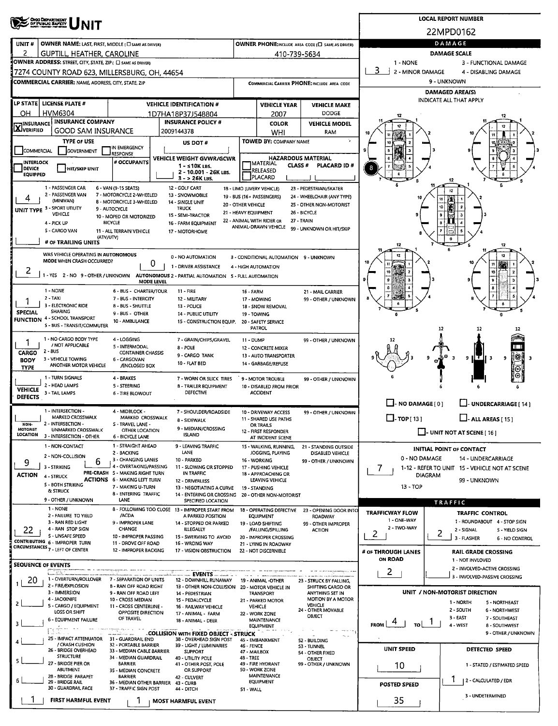| UNIT#                              |                                                                                                                                                                                                                                                                                                                                                                                                                                                                                                                                                                                                                                                                                                                                                                                                                                                                                                                                                                                                                                                                                                                                                                                                                                                                                                                                                                                                                                                                                                                                                                                                                                                                                                                                                                                                                                                                                                                                                                                                                                                                                                                                                                                                                                                                                                                                                                                                                                                                                                                                                                                                                                                                                                                                                                                                                                                                                                                                                                                                                                                                                                                                                                                                                                                                                                                                                                                                                                                                                                                                                                                                                                                                                                                                                                                                                                                                                                                                                                                                                                                                                                                                                                                                                                                                                                                                                                                                                                                                                                                                                                                                                                                                                                                                                                                                                                                                                                                                                                                                                                                                                                                                                                                                                                                                                                                                                                                                                                                                                                                                                                                                                                                                                                                                                                                                                                                                                                                                                                                                                                                                                                                                                                                                                                                                                                                                                                                                                                                                                                                                                                                                                                                                                                                                                                                                                                                                                                                                                                                                                                                                                                                                                                                                                                                                                                                                                                                                                                                                                                                                                                                                                                                                                                                         |                                                     |  |                            |           |                               |                                |                     | DAMAGE                       |  |
|------------------------------------|-------------------------------------------------------------------------------------------------------------------------------------------------------------------------------------------------------------------------------------------------------------------------------------------------------------------------------------------------------------------------------------------------------------------------------------------------------------------------------------------------------------------------------------------------------------------------------------------------------------------------------------------------------------------------------------------------------------------------------------------------------------------------------------------------------------------------------------------------------------------------------------------------------------------------------------------------------------------------------------------------------------------------------------------------------------------------------------------------------------------------------------------------------------------------------------------------------------------------------------------------------------------------------------------------------------------------------------------------------------------------------------------------------------------------------------------------------------------------------------------------------------------------------------------------------------------------------------------------------------------------------------------------------------------------------------------------------------------------------------------------------------------------------------------------------------------------------------------------------------------------------------------------------------------------------------------------------------------------------------------------------------------------------------------------------------------------------------------------------------------------------------------------------------------------------------------------------------------------------------------------------------------------------------------------------------------------------------------------------------------------------------------------------------------------------------------------------------------------------------------------------------------------------------------------------------------------------------------------------------------------------------------------------------------------------------------------------------------------------------------------------------------------------------------------------------------------------------------------------------------------------------------------------------------------------------------------------------------------------------------------------------------------------------------------------------------------------------------------------------------------------------------------------------------------------------------------------------------------------------------------------------------------------------------------------------------------------------------------------------------------------------------------------------------------------------------------------------------------------------------------------------------------------------------------------------------------------------------------------------------------------------------------------------------------------------------------------------------------------------------------------------------------------------------------------------------------------------------------------------------------------------------------------------------------------------------------------------------------------------------------------------------------------------------------------------------------------------------------------------------------------------------------------------------------------------------------------------------------------------------------------------------------------------------------------------------------------------------------------------------------------------------------------------------------------------------------------------------------------------------------------------------------------------------------------------------------------------------------------------------------------------------------------------------------------------------------------------------------------------------------------------------------------------------------------------------------------------------------------------------------------------------------------------------------------------------------------------------------------------------------------------------------------------------------------------------------------------------------------------------------------------------------------------------------------------------------------------------------------------------------------------------------------------------------------------------------------------------------------------------------------------------------------------------------------------------------------------------------------------------------------------------------------------------------------------------------------------------------------------------------------------------------------------------------------------------------------------------------------------------------------------------------------------------------------------------------------------------------------------------------------------------------------------------------------------------------------------------------------------------------------------------------------------------------------------------------------------------------------------------------------------------------------------------------------------------------------------------------------------------------------------------------------------------------------------------------------------------------------------------------------------------------------------------------------------------------------------------------------------------------------------------------------------------------------------------------------------------------------------------------------------------------------------------------------------------------------------------------------------------------------------------------------------------------------------------------------------------------------------------------------------------------------------------------------------------------------------------------------------------------------------------------------------------------------------------------------------------------------------------------------------------------------------------------------------------------------------------------------------------------------------------------------------------------------------------------------------------------------------------------------------------------------------------------------------------------------------------------------------------------------------------------------------------------------------------------------------------------------------------------------------------------------------------------------------------------------------------------|-----------------------------------------------------|--|----------------------------|-----------|-------------------------------|--------------------------------|---------------------|------------------------------|--|
| 2                                  |                                                                                                                                                                                                                                                                                                                                                                                                                                                                                                                                                                                                                                                                                                                                                                                                                                                                                                                                                                                                                                                                                                                                                                                                                                                                                                                                                                                                                                                                                                                                                                                                                                                                                                                                                                                                                                                                                                                                                                                                                                                                                                                                                                                                                                                                                                                                                                                                                                                                                                                                                                                                                                                                                                                                                                                                                                                                                                                                                                                                                                                                                                                                                                                                                                                                                                                                                                                                                                                                                                                                                                                                                                                                                                                                                                                                                                                                                                                                                                                                                                                                                                                                                                                                                                                                                                                                                                                                                                                                                                                                                                                                                                                                                                                                                                                                                                                                                                                                                                                                                                                                                                                                                                                                                                                                                                                                                                                                                                                                                                                                                                                                                                                                                                                                                                                                                                                                                                                                                                                                                                                                                                                                                                                                                                                                                                                                                                                                                                                                                                                                                                                                                                                                                                                                                                                                                                                                                                                                                                                                                                                                                                                                                                                                                                                                                                                                                                                                                                                                                                                                                                                                                                                                                                                         |                                                     |  |                            |           |                               |                                |                     | <b>DAMAGE SCALE</b>          |  |
|                                    |                                                                                                                                                                                                                                                                                                                                                                                                                                                                                                                                                                                                                                                                                                                                                                                                                                                                                                                                                                                                                                                                                                                                                                                                                                                                                                                                                                                                                                                                                                                                                                                                                                                                                                                                                                                                                                                                                                                                                                                                                                                                                                                                                                                                                                                                                                                                                                                                                                                                                                                                                                                                                                                                                                                                                                                                                                                                                                                                                                                                                                                                                                                                                                                                                                                                                                                                                                                                                                                                                                                                                                                                                                                                                                                                                                                                                                                                                                                                                                                                                                                                                                                                                                                                                                                                                                                                                                                                                                                                                                                                                                                                                                                                                                                                                                                                                                                                                                                                                                                                                                                                                                                                                                                                                                                                                                                                                                                                                                                                                                                                                                                                                                                                                                                                                                                                                                                                                                                                                                                                                                                                                                                                                                                                                                                                                                                                                                                                                                                                                                                                                                                                                                                                                                                                                                                                                                                                                                                                                                                                                                                                                                                                                                                                                                                                                                                                                                                                                                                                                                                                                                                                                                                                                                                         |                                                     |  |                            |           |                               |                                |                     |                              |  |
|                                    |                                                                                                                                                                                                                                                                                                                                                                                                                                                                                                                                                                                                                                                                                                                                                                                                                                                                                                                                                                                                                                                                                                                                                                                                                                                                                                                                                                                                                                                                                                                                                                                                                                                                                                                                                                                                                                                                                                                                                                                                                                                                                                                                                                                                                                                                                                                                                                                                                                                                                                                                                                                                                                                                                                                                                                                                                                                                                                                                                                                                                                                                                                                                                                                                                                                                                                                                                                                                                                                                                                                                                                                                                                                                                                                                                                                                                                                                                                                                                                                                                                                                                                                                                                                                                                                                                                                                                                                                                                                                                                                                                                                                                                                                                                                                                                                                                                                                                                                                                                                                                                                                                                                                                                                                                                                                                                                                                                                                                                                                                                                                                                                                                                                                                                                                                                                                                                                                                                                                                                                                                                                                                                                                                                                                                                                                                                                                                                                                                                                                                                                                                                                                                                                                                                                                                                                                                                                                                                                                                                                                                                                                                                                                                                                                                                                                                                                                                                                                                                                                                                                                                                                                                                                                                                                         |                                                     |  |                            |           |                               |                                |                     |                              |  |
|                                    |                                                                                                                                                                                                                                                                                                                                                                                                                                                                                                                                                                                                                                                                                                                                                                                                                                                                                                                                                                                                                                                                                                                                                                                                                                                                                                                                                                                                                                                                                                                                                                                                                                                                                                                                                                                                                                                                                                                                                                                                                                                                                                                                                                                                                                                                                                                                                                                                                                                                                                                                                                                                                                                                                                                                                                                                                                                                                                                                                                                                                                                                                                                                                                                                                                                                                                                                                                                                                                                                                                                                                                                                                                                                                                                                                                                                                                                                                                                                                                                                                                                                                                                                                                                                                                                                                                                                                                                                                                                                                                                                                                                                                                                                                                                                                                                                                                                                                                                                                                                                                                                                                                                                                                                                                                                                                                                                                                                                                                                                                                                                                                                                                                                                                                                                                                                                                                                                                                                                                                                                                                                                                                                                                                                                                                                                                                                                                                                                                                                                                                                                                                                                                                                                                                                                                                                                                                                                                                                                                                                                                                                                                                                                                                                                                                                                                                                                                                                                                                                                                                                                                                                                                                                                                                                         |                                                     |  |                            |           |                               |                                |                     |                              |  |
|                                    |                                                                                                                                                                                                                                                                                                                                                                                                                                                                                                                                                                                                                                                                                                                                                                                                                                                                                                                                                                                                                                                                                                                                                                                                                                                                                                                                                                                                                                                                                                                                                                                                                                                                                                                                                                                                                                                                                                                                                                                                                                                                                                                                                                                                                                                                                                                                                                                                                                                                                                                                                                                                                                                                                                                                                                                                                                                                                                                                                                                                                                                                                                                                                                                                                                                                                                                                                                                                                                                                                                                                                                                                                                                                                                                                                                                                                                                                                                                                                                                                                                                                                                                                                                                                                                                                                                                                                                                                                                                                                                                                                                                                                                                                                                                                                                                                                                                                                                                                                                                                                                                                                                                                                                                                                                                                                                                                                                                                                                                                                                                                                                                                                                                                                                                                                                                                                                                                                                                                                                                                                                                                                                                                                                                                                                                                                                                                                                                                                                                                                                                                                                                                                                                                                                                                                                                                                                                                                                                                                                                                                                                                                                                                                                                                                                                                                                                                                                                                                                                                                                                                                                                                                                                                                                                         |                                                     |  |                            |           |                               |                                |                     |                              |  |
| OН                                 |                                                                                                                                                                                                                                                                                                                                                                                                                                                                                                                                                                                                                                                                                                                                                                                                                                                                                                                                                                                                                                                                                                                                                                                                                                                                                                                                                                                                                                                                                                                                                                                                                                                                                                                                                                                                                                                                                                                                                                                                                                                                                                                                                                                                                                                                                                                                                                                                                                                                                                                                                                                                                                                                                                                                                                                                                                                                                                                                                                                                                                                                                                                                                                                                                                                                                                                                                                                                                                                                                                                                                                                                                                                                                                                                                                                                                                                                                                                                                                                                                                                                                                                                                                                                                                                                                                                                                                                                                                                                                                                                                                                                                                                                                                                                                                                                                                                                                                                                                                                                                                                                                                                                                                                                                                                                                                                                                                                                                                                                                                                                                                                                                                                                                                                                                                                                                                                                                                                                                                                                                                                                                                                                                                                                                                                                                                                                                                                                                                                                                                                                                                                                                                                                                                                                                                                                                                                                                                                                                                                                                                                                                                                                                                                                                                                                                                                                                                                                                                                                                                                                                                                                                                                                                                                         |                                                     |  |                            |           |                               | <b>DODGE</b>                   |                     |                              |  |
|                                    |                                                                                                                                                                                                                                                                                                                                                                                                                                                                                                                                                                                                                                                                                                                                                                                                                                                                                                                                                                                                                                                                                                                                                                                                                                                                                                                                                                                                                                                                                                                                                                                                                                                                                                                                                                                                                                                                                                                                                                                                                                                                                                                                                                                                                                                                                                                                                                                                                                                                                                                                                                                                                                                                                                                                                                                                                                                                                                                                                                                                                                                                                                                                                                                                                                                                                                                                                                                                                                                                                                                                                                                                                                                                                                                                                                                                                                                                                                                                                                                                                                                                                                                                                                                                                                                                                                                                                                                                                                                                                                                                                                                                                                                                                                                                                                                                                                                                                                                                                                                                                                                                                                                                                                                                                                                                                                                                                                                                                                                                                                                                                                                                                                                                                                                                                                                                                                                                                                                                                                                                                                                                                                                                                                                                                                                                                                                                                                                                                                                                                                                                                                                                                                                                                                                                                                                                                                                                                                                                                                                                                                                                                                                                                                                                                                                                                                                                                                                                                                                                                                                                                                                                                                                                                                                         |                                                     |  |                            |           | <b>COLOR</b>                  | <b>VEHICLE MODEL</b>           |                     |                              |  |
| <b>AJVERIFIED</b>                  |                                                                                                                                                                                                                                                                                                                                                                                                                                                                                                                                                                                                                                                                                                                                                                                                                                                                                                                                                                                                                                                                                                                                                                                                                                                                                                                                                                                                                                                                                                                                                                                                                                                                                                                                                                                                                                                                                                                                                                                                                                                                                                                                                                                                                                                                                                                                                                                                                                                                                                                                                                                                                                                                                                                                                                                                                                                                                                                                                                                                                                                                                                                                                                                                                                                                                                                                                                                                                                                                                                                                                                                                                                                                                                                                                                                                                                                                                                                                                                                                                                                                                                                                                                                                                                                                                                                                                                                                                                                                                                                                                                                                                                                                                                                                                                                                                                                                                                                                                                                                                                                                                                                                                                                                                                                                                                                                                                                                                                                                                                                                                                                                                                                                                                                                                                                                                                                                                                                                                                                                                                                                                                                                                                                                                                                                                                                                                                                                                                                                                                                                                                                                                                                                                                                                                                                                                                                                                                                                                                                                                                                                                                                                                                                                                                                                                                                                                                                                                                                                                                                                                                                                                                                                                                                         |                                                     |  |                            |           | WHI                           | <b>RAM</b>                     |                     |                              |  |
|                                    | <b>TYPE OF USE</b>                                                                                                                                                                                                                                                                                                                                                                                                                                                                                                                                                                                                                                                                                                                                                                                                                                                                                                                                                                                                                                                                                                                                                                                                                                                                                                                                                                                                                                                                                                                                                                                                                                                                                                                                                                                                                                                                                                                                                                                                                                                                                                                                                                                                                                                                                                                                                                                                                                                                                                                                                                                                                                                                                                                                                                                                                                                                                                                                                                                                                                                                                                                                                                                                                                                                                                                                                                                                                                                                                                                                                                                                                                                                                                                                                                                                                                                                                                                                                                                                                                                                                                                                                                                                                                                                                                                                                                                                                                                                                                                                                                                                                                                                                                                                                                                                                                                                                                                                                                                                                                                                                                                                                                                                                                                                                                                                                                                                                                                                                                                                                                                                                                                                                                                                                                                                                                                                                                                                                                                                                                                                                                                                                                                                                                                                                                                                                                                                                                                                                                                                                                                                                                                                                                                                                                                                                                                                                                                                                                                                                                                                                                                                                                                                                                                                                                                                                                                                                                                                                                                                                                                                                                                                                                      |                                                     |  | US DOT #                   |           |                               |                                |                     |                              |  |
|                                    |                                                                                                                                                                                                                                                                                                                                                                                                                                                                                                                                                                                                                                                                                                                                                                                                                                                                                                                                                                                                                                                                                                                                                                                                                                                                                                                                                                                                                                                                                                                                                                                                                                                                                                                                                                                                                                                                                                                                                                                                                                                                                                                                                                                                                                                                                                                                                                                                                                                                                                                                                                                                                                                                                                                                                                                                                                                                                                                                                                                                                                                                                                                                                                                                                                                                                                                                                                                                                                                                                                                                                                                                                                                                                                                                                                                                                                                                                                                                                                                                                                                                                                                                                                                                                                                                                                                                                                                                                                                                                                                                                                                                                                                                                                                                                                                                                                                                                                                                                                                                                                                                                                                                                                                                                                                                                                                                                                                                                                                                                                                                                                                                                                                                                                                                                                                                                                                                                                                                                                                                                                                                                                                                                                                                                                                                                                                                                                                                                                                                                                                                                                                                                                                                                                                                                                                                                                                                                                                                                                                                                                                                                                                                                                                                                                                                                                                                                                                                                                                                                                                                                                                                                                                                                                                         | RESPONSE                                            |  |                            |           |                               |                                |                     |                              |  |
| <b>DEVICE</b>                      |                                                                                                                                                                                                                                                                                                                                                                                                                                                                                                                                                                                                                                                                                                                                                                                                                                                                                                                                                                                                                                                                                                                                                                                                                                                                                                                                                                                                                                                                                                                                                                                                                                                                                                                                                                                                                                                                                                                                                                                                                                                                                                                                                                                                                                                                                                                                                                                                                                                                                                                                                                                                                                                                                                                                                                                                                                                                                                                                                                                                                                                                                                                                                                                                                                                                                                                                                                                                                                                                                                                                                                                                                                                                                                                                                                                                                                                                                                                                                                                                                                                                                                                                                                                                                                                                                                                                                                                                                                                                                                                                                                                                                                                                                                                                                                                                                                                                                                                                                                                                                                                                                                                                                                                                                                                                                                                                                                                                                                                                                                                                                                                                                                                                                                                                                                                                                                                                                                                                                                                                                                                                                                                                                                                                                                                                                                                                                                                                                                                                                                                                                                                                                                                                                                                                                                                                                                                                                                                                                                                                                                                                                                                                                                                                                                                                                                                                                                                                                                                                                                                                                                                                                                                                                                                         | # OCCUPANTS                                         |  | 1 - ≤10K LBS.              |           |                               | <b>PLACARD ID#</b>             |                     |                              |  |
|                                    |                                                                                                                                                                                                                                                                                                                                                                                                                                                                                                                                                                                                                                                                                                                                                                                                                                                                                                                                                                                                                                                                                                                                                                                                                                                                                                                                                                                                                                                                                                                                                                                                                                                                                                                                                                                                                                                                                                                                                                                                                                                                                                                                                                                                                                                                                                                                                                                                                                                                                                                                                                                                                                                                                                                                                                                                                                                                                                                                                                                                                                                                                                                                                                                                                                                                                                                                                                                                                                                                                                                                                                                                                                                                                                                                                                                                                                                                                                                                                                                                                                                                                                                                                                                                                                                                                                                                                                                                                                                                                                                                                                                                                                                                                                                                                                                                                                                                                                                                                                                                                                                                                                                                                                                                                                                                                                                                                                                                                                                                                                                                                                                                                                                                                                                                                                                                                                                                                                                                                                                                                                                                                                                                                                                                                                                                                                                                                                                                                                                                                                                                                                                                                                                                                                                                                                                                                                                                                                                                                                                                                                                                                                                                                                                                                                                                                                                                                                                                                                                                                                                                                                                                                                                                                                                         |                                                     |  | 3 - > 26K LBS.             |           |                               |                                |                     |                              |  |
|                                    | 1 - PASSENGER CAR                                                                                                                                                                                                                                                                                                                                                                                                                                                                                                                                                                                                                                                                                                                                                                                                                                                                                                                                                                                                                                                                                                                                                                                                                                                                                                                                                                                                                                                                                                                                                                                                                                                                                                                                                                                                                                                                                                                                                                                                                                                                                                                                                                                                                                                                                                                                                                                                                                                                                                                                                                                                                                                                                                                                                                                                                                                                                                                                                                                                                                                                                                                                                                                                                                                                                                                                                                                                                                                                                                                                                                                                                                                                                                                                                                                                                                                                                                                                                                                                                                                                                                                                                                                                                                                                                                                                                                                                                                                                                                                                                                                                                                                                                                                                                                                                                                                                                                                                                                                                                                                                                                                                                                                                                                                                                                                                                                                                                                                                                                                                                                                                                                                                                                                                                                                                                                                                                                                                                                                                                                                                                                                                                                                                                                                                                                                                                                                                                                                                                                                                                                                                                                                                                                                                                                                                                                                                                                                                                                                                                                                                                                                                                                                                                                                                                                                                                                                                                                                                                                                                                                                                                                                                                                       |                                                     |  |                            |           |                               |                                |                     | 12                           |  |
|                                    | (MINIVAN)                                                                                                                                                                                                                                                                                                                                                                                                                                                                                                                                                                                                                                                                                                                                                                                                                                                                                                                                                                                                                                                                                                                                                                                                                                                                                                                                                                                                                                                                                                                                                                                                                                                                                                                                                                                                                                                                                                                                                                                                                                                                                                                                                                                                                                                                                                                                                                                                                                                                                                                                                                                                                                                                                                                                                                                                                                                                                                                                                                                                                                                                                                                                                                                                                                                                                                                                                                                                                                                                                                                                                                                                                                                                                                                                                                                                                                                                                                                                                                                                                                                                                                                                                                                                                                                                                                                                                                                                                                                                                                                                                                                                                                                                                                                                                                                                                                                                                                                                                                                                                                                                                                                                                                                                                                                                                                                                                                                                                                                                                                                                                                                                                                                                                                                                                                                                                                                                                                                                                                                                                                                                                                                                                                                                                                                                                                                                                                                                                                                                                                                                                                                                                                                                                                                                                                                                                                                                                                                                                                                                                                                                                                                                                                                                                                                                                                                                                                                                                                                                                                                                                                                                                                                                                                               |                                                     |  |                            |           |                               |                                |                     |                              |  |
|                                    |                                                                                                                                                                                                                                                                                                                                                                                                                                                                                                                                                                                                                                                                                                                                                                                                                                                                                                                                                                                                                                                                                                                                                                                                                                                                                                                                                                                                                                                                                                                                                                                                                                                                                                                                                                                                                                                                                                                                                                                                                                                                                                                                                                                                                                                                                                                                                                                                                                                                                                                                                                                                                                                                                                                                                                                                                                                                                                                                                                                                                                                                                                                                                                                                                                                                                                                                                                                                                                                                                                                                                                                                                                                                                                                                                                                                                                                                                                                                                                                                                                                                                                                                                                                                                                                                                                                                                                                                                                                                                                                                                                                                                                                                                                                                                                                                                                                                                                                                                                                                                                                                                                                                                                                                                                                                                                                                                                                                                                                                                                                                                                                                                                                                                                                                                                                                                                                                                                                                                                                                                                                                                                                                                                                                                                                                                                                                                                                                                                                                                                                                                                                                                                                                                                                                                                                                                                                                                                                                                                                                                                                                                                                                                                                                                                                                                                                                                                                                                                                                                                                                                                                                                                                                                                                         |                                                     |  | <b>TRUCK</b>               |           |                               |                                |                     |                              |  |
|                                    | 4 - PICK UP                                                                                                                                                                                                                                                                                                                                                                                                                                                                                                                                                                                                                                                                                                                                                                                                                                                                                                                                                                                                                                                                                                                                                                                                                                                                                                                                                                                                                                                                                                                                                                                                                                                                                                                                                                                                                                                                                                                                                                                                                                                                                                                                                                                                                                                                                                                                                                                                                                                                                                                                                                                                                                                                                                                                                                                                                                                                                                                                                                                                                                                                                                                                                                                                                                                                                                                                                                                                                                                                                                                                                                                                                                                                                                                                                                                                                                                                                                                                                                                                                                                                                                                                                                                                                                                                                                                                                                                                                                                                                                                                                                                                                                                                                                                                                                                                                                                                                                                                                                                                                                                                                                                                                                                                                                                                                                                                                                                                                                                                                                                                                                                                                                                                                                                                                                                                                                                                                                                                                                                                                                                                                                                                                                                                                                                                                                                                                                                                                                                                                                                                                                                                                                                                                                                                                                                                                                                                                                                                                                                                                                                                                                                                                                                                                                                                                                                                                                                                                                                                                                                                                                                                                                                                                                             |                                                     |  |                            |           |                               |                                |                     |                              |  |
|                                    | 5 - CARGO VAN                                                                                                                                                                                                                                                                                                                                                                                                                                                                                                                                                                                                                                                                                                                                                                                                                                                                                                                                                                                                                                                                                                                                                                                                                                                                                                                                                                                                                                                                                                                                                                                                                                                                                                                                                                                                                                                                                                                                                                                                                                                                                                                                                                                                                                                                                                                                                                                                                                                                                                                                                                                                                                                                                                                                                                                                                                                                                                                                                                                                                                                                                                                                                                                                                                                                                                                                                                                                                                                                                                                                                                                                                                                                                                                                                                                                                                                                                                                                                                                                                                                                                                                                                                                                                                                                                                                                                                                                                                                                                                                                                                                                                                                                                                                                                                                                                                                                                                                                                                                                                                                                                                                                                                                                                                                                                                                                                                                                                                                                                                                                                                                                                                                                                                                                                                                                                                                                                                                                                                                                                                                                                                                                                                                                                                                                                                                                                                                                                                                                                                                                                                                                                                                                                                                                                                                                                                                                                                                                                                                                                                                                                                                                                                                                                                                                                                                                                                                                                                                                                                                                                                                                                                                                                                           |                                                     |  |                            |           |                               |                                |                     |                              |  |
|                                    | # OF TRAILING UNITS                                                                                                                                                                                                                                                                                                                                                                                                                                                                                                                                                                                                                                                                                                                                                                                                                                                                                                                                                                                                                                                                                                                                                                                                                                                                                                                                                                                                                                                                                                                                                                                                                                                                                                                                                                                                                                                                                                                                                                                                                                                                                                                                                                                                                                                                                                                                                                                                                                                                                                                                                                                                                                                                                                                                                                                                                                                                                                                                                                                                                                                                                                                                                                                                                                                                                                                                                                                                                                                                                                                                                                                                                                                                                                                                                                                                                                                                                                                                                                                                                                                                                                                                                                                                                                                                                                                                                                                                                                                                                                                                                                                                                                                                                                                                                                                                                                                                                                                                                                                                                                                                                                                                                                                                                                                                                                                                                                                                                                                                                                                                                                                                                                                                                                                                                                                                                                                                                                                                                                                                                                                                                                                                                                                                                                                                                                                                                                                                                                                                                                                                                                                                                                                                                                                                                                                                                                                                                                                                                                                                                                                                                                                                                                                                                                                                                                                                                                                                                                                                                                                                                                                                                                                                                                     |                                                     |  |                            |           |                               |                                | 12                  |                              |  |
|                                    |                                                                                                                                                                                                                                                                                                                                                                                                                                                                                                                                                                                                                                                                                                                                                                                                                                                                                                                                                                                                                                                                                                                                                                                                                                                                                                                                                                                                                                                                                                                                                                                                                                                                                                                                                                                                                                                                                                                                                                                                                                                                                                                                                                                                                                                                                                                                                                                                                                                                                                                                                                                                                                                                                                                                                                                                                                                                                                                                                                                                                                                                                                                                                                                                                                                                                                                                                                                                                                                                                                                                                                                                                                                                                                                                                                                                                                                                                                                                                                                                                                                                                                                                                                                                                                                                                                                                                                                                                                                                                                                                                                                                                                                                                                                                                                                                                                                                                                                                                                                                                                                                                                                                                                                                                                                                                                                                                                                                                                                                                                                                                                                                                                                                                                                                                                                                                                                                                                                                                                                                                                                                                                                                                                                                                                                                                                                                                                                                                                                                                                                                                                                                                                                                                                                                                                                                                                                                                                                                                                                                                                                                                                                                                                                                                                                                                                                                                                                                                                                                                                                                                                                                                                                                                                                         |                                                     |  |                            |           |                               |                                |                     |                              |  |
|                                    | <b>LOCAL REPORT NUMBER</b><br><b>OHO DEPARTMENT</b><br>OF PUBLIC SAFETY<br>22MPD0162<br>OWNER NAME: LAST, FIRST, MIDDLE ( C SAME AS DRIVER)<br>OWNER PHONE; INCLUDE AREA CODE (C) SAME AS DRIVER)<br>GUPTILL, HEATHER, CAROLINE<br>410-739-5634<br>OWNER ADDRESS: STREET, CITY, STATE, ZIP ( C) SAME AS DRIVER)<br>1 - NONE<br>3 - FUNCTIONAL DAMAGE<br>3<br>2 - MINOR DAMAGE<br>7274 COUNTY ROAD 623, MILLERSBURG, OH, 44654<br>4 - DISABLING DAMAGE<br>9 - UNKNOWN<br><b>COMMERCIAL CARRIER:</b> NAME, ADDRESS, CITY, STATE, ZIP<br>COMMERCIAL CARRIER PHONE: INCLUDE AREA CODE<br><b>DAMAGED AREA(S)</b><br><b>INDICATE ALL THAT APPLY</b><br>LP STATE LICENSE PLATE #<br><b>VEHICLE IDENTIFICATION #</b><br><b>VEHICLE YEAR</b><br><b>VEHICLE MAKE</b><br><b>HVM6304</b><br>1D7HA18P37J548804<br>2007<br><b>INSURANCE COMPANY</b><br><b>INSURANCE POLICY #</b><br><b>JINSURANCE</b><br><b>GOOD SAM INSURANCE</b><br>2009144378<br>TOWED BY: COMPANY NAME<br>IN EMERGENCY<br>COMMERCIAL<br>GOVERNMENT<br><b>HAZARDOUS MATERIAL</b><br>VEHICLE WEIGHT GVWR/GCWR<br>INTERLOCK<br><b>JMATERIAL</b><br><b>CLASS #</b><br><b>HIT/SKIP UNIT</b><br><b>RELEASED</b><br>2 - 10.001 - 26K LBS.<br><b>EQUIPPED</b><br>PLACARD<br>6 - VAN (9-15 SEATS)<br>12 - GOLF CART<br>23 - PEDESTRIAN/SKATER<br>18 - LIMO (LIVERY VEHICLE)<br>2 - PASSENGER VAN<br>7 - MOTORCYCLE 2-WHEELED<br>13 - SNOWMOBILE<br>19 - BUS (16+ PASSENGERS)<br>24 - WHEELCHAIR (ANY TYPE)<br>8 - MOTORCYCLE 3-WHEELED<br>14 - SINGLE UNIT<br>20 - OTHER VEHICLE<br>25 - OTHER NON-MOTORIST<br>UNIT TYPE 3 - SPORT UTILITY<br>9 - AUTOCYCLE<br>21 - HEAVY EQUIPMENT<br>26 - BICYCLE<br>VEHICLE<br>15 - SEMI-TRACTOR<br>10 - MOPED OR MOTORIZED<br>22 - ANIMAL WITH RIDER OR<br>27 - TRAIN<br><b>BICYCLE</b><br>16 - FARM EQUIPMENT<br>ANIMAL-DRAWN VEHICLE<br>99 - UNKNOWN OR HIT/SKIP<br>11 - ALL TERRAIN VEHICLE<br>17 - MOTORHOME<br>(ATV/UTV)<br>12<br>WAS VEHICLE OPERATING IN AUTONOMOUS<br>0 - NO AUTOMATION<br>3 - CONDITIONAL AUTOMATION 9 - UNKNOWN<br>MODE WHEN CRASH OCCURRED?<br>U<br>1 - DRIVER ASSISTANCE<br>4 - HIGH AUTOMATION<br>10<br>1 - YES 2 - NO 9 - OTHER / UNKNOWN AUTONOMOUS 2 - PARTIAL AUTOMATION 5 - FULL AUTOMATION<br><b>MODE LEVEL</b><br>8<br>1 - NONE<br>6 - BUS - CHARTER/TOUR<br>11 - FIRE<br>16 FARM<br>21 - MAIL CARRIER<br>$2 - TAXI$<br>7 - BUS - INTERCITY<br>12 - MILITARY<br>17 - MOWING<br>99 - OTHER / UNKNOWN<br>3 - ELECTRONIC RIDE<br>8 - BUS - SHUTTLE<br>13 - POLICE<br>18 - SNOW REMOVAL<br>SHARING<br>9 - BUS - OTHER<br>14 - PUBLIC UTILITY<br>19 - TOWING<br><b>FUNCTION 4 - SCHOOL TRANSPORT</b><br>10 - AMBULANCE<br>15 - CONSTRUCTION EQUIP.<br>20 - SAFETY SERVICE<br>S - BUS - TRANSIT/COMMUTER<br>PATROL<br>12<br>12<br>1 - NO CARGO BODY TYPE<br>4 - LOGGING<br>7 - GRAIN/CHIPS/GRAVEL<br>99 - OTHER / UNKNOWN<br><b>11 - DUMP</b><br>/ NOT APPLICABLE<br>5 - INTERMODAL<br>8 - POLE<br>12 - CONCRETE MIXER<br>$2 - BUS$<br><b>CONTAINER CHASSIS</b><br>9 - CARGO TANK<br>13 - AUTO TRANSPORTER<br> ∰∦<br>$9$ IIT<br>9<br>I 3<br>3 - VEHICLE TOWING<br>6 - CARGOVAN<br>10 - FLAT BED<br>14 - GARBAGE/REFUSE<br>ANOTHER MOTOR VEHICLE<br>/ENCLOSED BOX<br>1 - TURN SIGNALS<br>4 - BRAKES<br>7 - WORN OR SLICK TIRES<br>9 - MOTOR TROUBLE<br>99 - OTHER / UNKNOWN<br>2 - HEAD LAMPS<br>5 - STEERING<br>8 - TRAILER EQUIPMENT<br>10 - DISABLED FROM PRIOR<br>3 - TAIL LAMPS<br><b>DEFECTIVE</b><br><b>ACCIDENT</b><br><b>6 - TIRE BLOWOUT</b><br>$\Box$ - NO DAMAGE $[0]$<br>L.J. UNDERCARRIAGE [ 14 ]<br>1 - INTERSECTION -<br>4 - MIDBLOCK -<br>7 - SHOULDER/ROADSIDE<br>10 - DRIVEWAY ACCESS<br>99 - OTHER / UNKNOWN<br><b>MARKED CROSSWALK</b><br>MARKED CROSSWALK<br>$\square$ - TOP[13]<br>$\Box$ - ALL AREAS [ 15 ]<br>11 - SHARED USE PATHS<br>8 - SIDEWALK<br>2 - INTERSECTION -<br>5 - TRAVEL LANE -<br>OR TRAILS<br>9 - MEDIAN/CROSSING<br>UNMARKED CROSSWALK<br>OTHER LOCATION<br>12 - FIRST RESPONDER<br>$\Box$ - UNIT NOT AT SCENE [ 16 ]<br><b>ISLAND</b><br>3 - INTERSECTION - OTHER<br>6 - BICYCLE LANE<br>AT INCIDENT SCENE<br>1 - STRAIGHT AHEAD<br>1 - NON-CONTACT<br>9 - LEAVING TRAFFIC<br>15 - WALKING, RUNNING,<br>21 - STANDING OUTSIDE<br><b>INITIAL POINT OF CONTACT</b><br>LANE<br>2 - BACKING<br>JOGGING, PLAYING<br>DISABLED VEHICLE<br>2 - NON-COLLISION<br>0 - NO DAMAGE<br>14 - UNDERCARRIAGE<br>3 - CHANGING LANES<br>10 - PARKED<br>6<br>16 - WORKING<br>99 - OTHER / UNKNOWN<br>4 - OVERTAKING/PASSING<br>3 - STRIKING<br>11 - SLOWING OR STOPPED<br>17 - PUSHING VEHICLE<br>1-12 - REFER TO UNIT 15 - VEHICLE NOT AT SCENE<br>7<br>PRE-CRASH 5 - MAKING RIGHT TURN<br>IN TRAFFIC<br>18 - APPROACHING OR<br><b>DIAGRAM</b><br>4 - STRUCK<br><b>ACTIONS</b> 6 - MAKING LEFT TURN<br>LEAVING VEHICLE<br>99 - UNKNOWN<br>12 - DRIVERLESS<br><b>5 - BOTH STRIKING</b><br>$13 - TOP$<br>7 - MAKING U-TURN<br>13 - NEGOTIATING A CURVE<br>19 - STANDING<br>& STRUCK<br>8 - ENTERING TRAFFIC<br>14 - ENTERING OR CROSSING<br>20 - OTHER NON-MOTORIST<br>9 - OTHER / UNKNOWN<br>LANE<br>SPECIFIED LOCATION<br><b>TRAFFIC</b><br>1 - NONE<br>8 - FOLLOWING TOO CLOSE 13 - IMPROPER START FROM<br>18 - OPERATING DEFECTIVE<br>23 - OPENING DOOR INTO<br><b>TRAFFICWAY FLOW</b><br><b>TRAFFIC CONTROL</b><br>/ACDA<br>2 - FAILURE TO YIELD<br>A PARKED POSITION<br><b>EQUIPMENT</b><br>ROADWAY<br>1 - ONE-WAY<br>1 - ROUNDABOUT 4 - STOP SIGN<br>3 - RAN RED LIGHT<br>9 - IMPROPER LANE<br>14 - STOPPED OR PARKED<br>19 - LOAD SHIFTING<br>99 - OTHER IMPROPER<br>2 - TWO-WAY<br>CHANGE<br>4 - RAN STOP SIGN<br>ILLEGALLY<br>/FALLING/SPILLING<br>2 - SIGNAL<br><b>ACTION</b><br>5 - YIELD SIGN<br>2<br>2<br>5 - UNSAFE SPEED<br>10 - IMPROPER PASSING<br>15 - SWERVING TO AVOID<br>20 - IMPROPER CROSSING<br>3 - FLASHER<br>6 - NO CONTROL<br>CONTRIBUTING 6 - IMPROPER TURN<br>11 - DROVE OFF ROAD<br>16 - WRONG WAY<br>21 - LYING IN ROADWAY<br>CIRCUMSTANCES 7 - LEFT OF CENTER<br>12 - IMPROPER BACKING<br>17 - VISION OBSTRUCTION<br>22 - NOT DISCERNIBLE<br># OF THROUGH LANES<br><b>RAIL GRADE CROSSING</b><br><b>ON ROAD</b><br>1 - NOT INVLOVED<br><b>SEQUENCE OF EVENTS</b><br>2 - INVOLVED-ACTIVE CROSSING<br>2<br>1984.<br><b>EVENTS</b><br>3 - INVOLVED-PASSIVE CROSSING<br>20<br>1 - OVERTURN/ROLLOVER<br>7 - SEPARATION OF UNITS<br>12 - DOWNHILL RUNAWAY<br>19 - ANIMAL -OTHER<br>23 STRUCK BY FALLING.<br>2 - FIRE/EXPLOSION<br>8 - RAN OFF ROAD RIGHT<br>13 - OTHER NON-COLLISION 20 - MOTOR VEHICLE IN<br>SHIFTING CARGO OR<br>UNIT / NON-MOTORIST DIRECTION<br>3 - IMMERSION<br>9 - RAN OFF ROAD LEFT<br>ANYTHING SET IN<br><b>TRANSPORT</b><br>14 - PEDESTRIAN<br>4 - JACKKNIFE<br>MOTION BY A MOTOR<br>10 - CROSS MEDIAN<br>15 - PEDALCYCLE<br>21 - PARKED MOTOR<br>1 NORTH<br>5 - NORTHEAST<br><b>VEHICLE</b><br>5 - CARGO / EQUIPMENT<br>11 - CROSS CENTERLINE -<br>16 - RAILWAY VEHICLE<br><b>VEHICLE</b><br>24 - OTHER MOVABLE<br>2 - SOUTH<br><b>6 - NORTHWEST</b><br>LOSS OR SHIFT<br>OPPOSITE DIRECTION<br>17 - ANIMAL - FARM<br>22 - WORK ZONE<br>OBJECT<br>3 EAST<br>7 - SOUTHEAST<br>OF TRAVEL<br><b>6 - EQUIPMENT FAILURE</b><br>MAINTENANCE<br>18 - ANIMAL - DEER<br>$\mathbf{I}$<br>FROM<br>TO I<br>4 - WEST<br><b>8 - SOUTHWEST</b><br><b>EQUIPMENT</b><br>ng Kemer<br>Gundên S<br><b>COLLISION WITH FIXED OBJECT - STRUCK</b><br>9 - OTHER / UNKNOWN<br>بسا بالمستسلم<br>25 - IMPACT ATTENUATOR 31 - GUARDRAIL END<br>38 - OVERHEAD SIGN POST<br>45 - EMBANKMENT<br>52 - BUILDING<br>/ CRASH CUSHION<br>32 - PORTABLE BARRIER<br>39 - LIGHT / LUMINARIES<br><b>46 - FENCE</b><br>53 - TUNNEL<br><b>UNIT SPEED</b><br><b>DETECTED SPEED</b><br>26 - BRIDGE OVERHEAD<br>33 - MEDIAN CABLE BARRIER<br><b>SUPPORT</b><br>47 - MAILBOX |                                                     |  |                            |           |                               |                                |                     |                              |  |
| 2                                  |                                                                                                                                                                                                                                                                                                                                                                                                                                                                                                                                                                                                                                                                                                                                                                                                                                                                                                                                                                                                                                                                                                                                                                                                                                                                                                                                                                                                                                                                                                                                                                                                                                                                                                                                                                                                                                                                                                                                                                                                                                                                                                                                                                                                                                                                                                                                                                                                                                                                                                                                                                                                                                                                                                                                                                                                                                                                                                                                                                                                                                                                                                                                                                                                                                                                                                                                                                                                                                                                                                                                                                                                                                                                                                                                                                                                                                                                                                                                                                                                                                                                                                                                                                                                                                                                                                                                                                                                                                                                                                                                                                                                                                                                                                                                                                                                                                                                                                                                                                                                                                                                                                                                                                                                                                                                                                                                                                                                                                                                                                                                                                                                                                                                                                                                                                                                                                                                                                                                                                                                                                                                                                                                                                                                                                                                                                                                                                                                                                                                                                                                                                                                                                                                                                                                                                                                                                                                                                                                                                                                                                                                                                                                                                                                                                                                                                                                                                                                                                                                                                                                                                                                                                                                                                                         |                                                     |  |                            |           |                               |                                |                     |                              |  |
|                                    |                                                                                                                                                                                                                                                                                                                                                                                                                                                                                                                                                                                                                                                                                                                                                                                                                                                                                                                                                                                                                                                                                                                                                                                                                                                                                                                                                                                                                                                                                                                                                                                                                                                                                                                                                                                                                                                                                                                                                                                                                                                                                                                                                                                                                                                                                                                                                                                                                                                                                                                                                                                                                                                                                                                                                                                                                                                                                                                                                                                                                                                                                                                                                                                                                                                                                                                                                                                                                                                                                                                                                                                                                                                                                                                                                                                                                                                                                                                                                                                                                                                                                                                                                                                                                                                                                                                                                                                                                                                                                                                                                                                                                                                                                                                                                                                                                                                                                                                                                                                                                                                                                                                                                                                                                                                                                                                                                                                                                                                                                                                                                                                                                                                                                                                                                                                                                                                                                                                                                                                                                                                                                                                                                                                                                                                                                                                                                                                                                                                                                                                                                                                                                                                                                                                                                                                                                                                                                                                                                                                                                                                                                                                                                                                                                                                                                                                                                                                                                                                                                                                                                                                                                                                                                                                         |                                                     |  |                            |           |                               |                                |                     |                              |  |
|                                    |                                                                                                                                                                                                                                                                                                                                                                                                                                                                                                                                                                                                                                                                                                                                                                                                                                                                                                                                                                                                                                                                                                                                                                                                                                                                                                                                                                                                                                                                                                                                                                                                                                                                                                                                                                                                                                                                                                                                                                                                                                                                                                                                                                                                                                                                                                                                                                                                                                                                                                                                                                                                                                                                                                                                                                                                                                                                                                                                                                                                                                                                                                                                                                                                                                                                                                                                                                                                                                                                                                                                                                                                                                                                                                                                                                                                                                                                                                                                                                                                                                                                                                                                                                                                                                                                                                                                                                                                                                                                                                                                                                                                                                                                                                                                                                                                                                                                                                                                                                                                                                                                                                                                                                                                                                                                                                                                                                                                                                                                                                                                                                                                                                                                                                                                                                                                                                                                                                                                                                                                                                                                                                                                                                                                                                                                                                                                                                                                                                                                                                                                                                                                                                                                                                                                                                                                                                                                                                                                                                                                                                                                                                                                                                                                                                                                                                                                                                                                                                                                                                                                                                                                                                                                                                                         |                                                     |  |                            |           |                               |                                |                     |                              |  |
| <b>SPECIAL</b>                     |                                                                                                                                                                                                                                                                                                                                                                                                                                                                                                                                                                                                                                                                                                                                                                                                                                                                                                                                                                                                                                                                                                                                                                                                                                                                                                                                                                                                                                                                                                                                                                                                                                                                                                                                                                                                                                                                                                                                                                                                                                                                                                                                                                                                                                                                                                                                                                                                                                                                                                                                                                                                                                                                                                                                                                                                                                                                                                                                                                                                                                                                                                                                                                                                                                                                                                                                                                                                                                                                                                                                                                                                                                                                                                                                                                                                                                                                                                                                                                                                                                                                                                                                                                                                                                                                                                                                                                                                                                                                                                                                                                                                                                                                                                                                                                                                                                                                                                                                                                                                                                                                                                                                                                                                                                                                                                                                                                                                                                                                                                                                                                                                                                                                                                                                                                                                                                                                                                                                                                                                                                                                                                                                                                                                                                                                                                                                                                                                                                                                                                                                                                                                                                                                                                                                                                                                                                                                                                                                                                                                                                                                                                                                                                                                                                                                                                                                                                                                                                                                                                                                                                                                                                                                                                                         |                                                     |  |                            |           |                               |                                |                     |                              |  |
|                                    |                                                                                                                                                                                                                                                                                                                                                                                                                                                                                                                                                                                                                                                                                                                                                                                                                                                                                                                                                                                                                                                                                                                                                                                                                                                                                                                                                                                                                                                                                                                                                                                                                                                                                                                                                                                                                                                                                                                                                                                                                                                                                                                                                                                                                                                                                                                                                                                                                                                                                                                                                                                                                                                                                                                                                                                                                                                                                                                                                                                                                                                                                                                                                                                                                                                                                                                                                                                                                                                                                                                                                                                                                                                                                                                                                                                                                                                                                                                                                                                                                                                                                                                                                                                                                                                                                                                                                                                                                                                                                                                                                                                                                                                                                                                                                                                                                                                                                                                                                                                                                                                                                                                                                                                                                                                                                                                                                                                                                                                                                                                                                                                                                                                                                                                                                                                                                                                                                                                                                                                                                                                                                                                                                                                                                                                                                                                                                                                                                                                                                                                                                                                                                                                                                                                                                                                                                                                                                                                                                                                                                                                                                                                                                                                                                                                                                                                                                                                                                                                                                                                                                                                                                                                                                                                         |                                                     |  |                            |           |                               |                                |                     |                              |  |
|                                    |                                                                                                                                                                                                                                                                                                                                                                                                                                                                                                                                                                                                                                                                                                                                                                                                                                                                                                                                                                                                                                                                                                                                                                                                                                                                                                                                                                                                                                                                                                                                                                                                                                                                                                                                                                                                                                                                                                                                                                                                                                                                                                                                                                                                                                                                                                                                                                                                                                                                                                                                                                                                                                                                                                                                                                                                                                                                                                                                                                                                                                                                                                                                                                                                                                                                                                                                                                                                                                                                                                                                                                                                                                                                                                                                                                                                                                                                                                                                                                                                                                                                                                                                                                                                                                                                                                                                                                                                                                                                                                                                                                                                                                                                                                                                                                                                                                                                                                                                                                                                                                                                                                                                                                                                                                                                                                                                                                                                                                                                                                                                                                                                                                                                                                                                                                                                                                                                                                                                                                                                                                                                                                                                                                                                                                                                                                                                                                                                                                                                                                                                                                                                                                                                                                                                                                                                                                                                                                                                                                                                                                                                                                                                                                                                                                                                                                                                                                                                                                                                                                                                                                                                                                                                                                                         |                                                     |  |                            |           |                               |                                |                     |                              |  |
|                                    |                                                                                                                                                                                                                                                                                                                                                                                                                                                                                                                                                                                                                                                                                                                                                                                                                                                                                                                                                                                                                                                                                                                                                                                                                                                                                                                                                                                                                                                                                                                                                                                                                                                                                                                                                                                                                                                                                                                                                                                                                                                                                                                                                                                                                                                                                                                                                                                                                                                                                                                                                                                                                                                                                                                                                                                                                                                                                                                                                                                                                                                                                                                                                                                                                                                                                                                                                                                                                                                                                                                                                                                                                                                                                                                                                                                                                                                                                                                                                                                                                                                                                                                                                                                                                                                                                                                                                                                                                                                                                                                                                                                                                                                                                                                                                                                                                                                                                                                                                                                                                                                                                                                                                                                                                                                                                                                                                                                                                                                                                                                                                                                                                                                                                                                                                                                                                                                                                                                                                                                                                                                                                                                                                                                                                                                                                                                                                                                                                                                                                                                                                                                                                                                                                                                                                                                                                                                                                                                                                                                                                                                                                                                                                                                                                                                                                                                                                                                                                                                                                                                                                                                                                                                                                                                         |                                                     |  |                            |           |                               |                                |                     |                              |  |
| CARGO                              |                                                                                                                                                                                                                                                                                                                                                                                                                                                                                                                                                                                                                                                                                                                                                                                                                                                                                                                                                                                                                                                                                                                                                                                                                                                                                                                                                                                                                                                                                                                                                                                                                                                                                                                                                                                                                                                                                                                                                                                                                                                                                                                                                                                                                                                                                                                                                                                                                                                                                                                                                                                                                                                                                                                                                                                                                                                                                                                                                                                                                                                                                                                                                                                                                                                                                                                                                                                                                                                                                                                                                                                                                                                                                                                                                                                                                                                                                                                                                                                                                                                                                                                                                                                                                                                                                                                                                                                                                                                                                                                                                                                                                                                                                                                                                                                                                                                                                                                                                                                                                                                                                                                                                                                                                                                                                                                                                                                                                                                                                                                                                                                                                                                                                                                                                                                                                                                                                                                                                                                                                                                                                                                                                                                                                                                                                                                                                                                                                                                                                                                                                                                                                                                                                                                                                                                                                                                                                                                                                                                                                                                                                                                                                                                                                                                                                                                                                                                                                                                                                                                                                                                                                                                                                                                         |                                                     |  |                            |           |                               |                                |                     |                              |  |
| <b>BODY</b><br><b>TYPE</b>         |                                                                                                                                                                                                                                                                                                                                                                                                                                                                                                                                                                                                                                                                                                                                                                                                                                                                                                                                                                                                                                                                                                                                                                                                                                                                                                                                                                                                                                                                                                                                                                                                                                                                                                                                                                                                                                                                                                                                                                                                                                                                                                                                                                                                                                                                                                                                                                                                                                                                                                                                                                                                                                                                                                                                                                                                                                                                                                                                                                                                                                                                                                                                                                                                                                                                                                                                                                                                                                                                                                                                                                                                                                                                                                                                                                                                                                                                                                                                                                                                                                                                                                                                                                                                                                                                                                                                                                                                                                                                                                                                                                                                                                                                                                                                                                                                                                                                                                                                                                                                                                                                                                                                                                                                                                                                                                                                                                                                                                                                                                                                                                                                                                                                                                                                                                                                                                                                                                                                                                                                                                                                                                                                                                                                                                                                                                                                                                                                                                                                                                                                                                                                                                                                                                                                                                                                                                                                                                                                                                                                                                                                                                                                                                                                                                                                                                                                                                                                                                                                                                                                                                                                                                                                                                                         |                                                     |  |                            |           |                               |                                |                     |                              |  |
|                                    |                                                                                                                                                                                                                                                                                                                                                                                                                                                                                                                                                                                                                                                                                                                                                                                                                                                                                                                                                                                                                                                                                                                                                                                                                                                                                                                                                                                                                                                                                                                                                                                                                                                                                                                                                                                                                                                                                                                                                                                                                                                                                                                                                                                                                                                                                                                                                                                                                                                                                                                                                                                                                                                                                                                                                                                                                                                                                                                                                                                                                                                                                                                                                                                                                                                                                                                                                                                                                                                                                                                                                                                                                                                                                                                                                                                                                                                                                                                                                                                                                                                                                                                                                                                                                                                                                                                                                                                                                                                                                                                                                                                                                                                                                                                                                                                                                                                                                                                                                                                                                                                                                                                                                                                                                                                                                                                                                                                                                                                                                                                                                                                                                                                                                                                                                                                                                                                                                                                                                                                                                                                                                                                                                                                                                                                                                                                                                                                                                                                                                                                                                                                                                                                                                                                                                                                                                                                                                                                                                                                                                                                                                                                                                                                                                                                                                                                                                                                                                                                                                                                                                                                                                                                                                                                         |                                                     |  |                            |           |                               |                                |                     |                              |  |
| <b>VEHICLE</b>                     |                                                                                                                                                                                                                                                                                                                                                                                                                                                                                                                                                                                                                                                                                                                                                                                                                                                                                                                                                                                                                                                                                                                                                                                                                                                                                                                                                                                                                                                                                                                                                                                                                                                                                                                                                                                                                                                                                                                                                                                                                                                                                                                                                                                                                                                                                                                                                                                                                                                                                                                                                                                                                                                                                                                                                                                                                                                                                                                                                                                                                                                                                                                                                                                                                                                                                                                                                                                                                                                                                                                                                                                                                                                                                                                                                                                                                                                                                                                                                                                                                                                                                                                                                                                                                                                                                                                                                                                                                                                                                                                                                                                                                                                                                                                                                                                                                                                                                                                                                                                                                                                                                                                                                                                                                                                                                                                                                                                                                                                                                                                                                                                                                                                                                                                                                                                                                                                                                                                                                                                                                                                                                                                                                                                                                                                                                                                                                                                                                                                                                                                                                                                                                                                                                                                                                                                                                                                                                                                                                                                                                                                                                                                                                                                                                                                                                                                                                                                                                                                                                                                                                                                                                                                                                                                         |                                                     |  |                            |           |                               |                                |                     |                              |  |
| <b>DEFECTS</b>                     |                                                                                                                                                                                                                                                                                                                                                                                                                                                                                                                                                                                                                                                                                                                                                                                                                                                                                                                                                                                                                                                                                                                                                                                                                                                                                                                                                                                                                                                                                                                                                                                                                                                                                                                                                                                                                                                                                                                                                                                                                                                                                                                                                                                                                                                                                                                                                                                                                                                                                                                                                                                                                                                                                                                                                                                                                                                                                                                                                                                                                                                                                                                                                                                                                                                                                                                                                                                                                                                                                                                                                                                                                                                                                                                                                                                                                                                                                                                                                                                                                                                                                                                                                                                                                                                                                                                                                                                                                                                                                                                                                                                                                                                                                                                                                                                                                                                                                                                                                                                                                                                                                                                                                                                                                                                                                                                                                                                                                                                                                                                                                                                                                                                                                                                                                                                                                                                                                                                                                                                                                                                                                                                                                                                                                                                                                                                                                                                                                                                                                                                                                                                                                                                                                                                                                                                                                                                                                                                                                                                                                                                                                                                                                                                                                                                                                                                                                                                                                                                                                                                                                                                                                                                                                                                         |                                                     |  |                            |           |                               |                                |                     |                              |  |
|                                    |                                                                                                                                                                                                                                                                                                                                                                                                                                                                                                                                                                                                                                                                                                                                                                                                                                                                                                                                                                                                                                                                                                                                                                                                                                                                                                                                                                                                                                                                                                                                                                                                                                                                                                                                                                                                                                                                                                                                                                                                                                                                                                                                                                                                                                                                                                                                                                                                                                                                                                                                                                                                                                                                                                                                                                                                                                                                                                                                                                                                                                                                                                                                                                                                                                                                                                                                                                                                                                                                                                                                                                                                                                                                                                                                                                                                                                                                                                                                                                                                                                                                                                                                                                                                                                                                                                                                                                                                                                                                                                                                                                                                                                                                                                                                                                                                                                                                                                                                                                                                                                                                                                                                                                                                                                                                                                                                                                                                                                                                                                                                                                                                                                                                                                                                                                                                                                                                                                                                                                                                                                                                                                                                                                                                                                                                                                                                                                                                                                                                                                                                                                                                                                                                                                                                                                                                                                                                                                                                                                                                                                                                                                                                                                                                                                                                                                                                                                                                                                                                                                                                                                                                                                                                                                                         |                                                     |  |                            |           |                               |                                |                     |                              |  |
| NON-                               |                                                                                                                                                                                                                                                                                                                                                                                                                                                                                                                                                                                                                                                                                                                                                                                                                                                                                                                                                                                                                                                                                                                                                                                                                                                                                                                                                                                                                                                                                                                                                                                                                                                                                                                                                                                                                                                                                                                                                                                                                                                                                                                                                                                                                                                                                                                                                                                                                                                                                                                                                                                                                                                                                                                                                                                                                                                                                                                                                                                                                                                                                                                                                                                                                                                                                                                                                                                                                                                                                                                                                                                                                                                                                                                                                                                                                                                                                                                                                                                                                                                                                                                                                                                                                                                                                                                                                                                                                                                                                                                                                                                                                                                                                                                                                                                                                                                                                                                                                                                                                                                                                                                                                                                                                                                                                                                                                                                                                                                                                                                                                                                                                                                                                                                                                                                                                                                                                                                                                                                                                                                                                                                                                                                                                                                                                                                                                                                                                                                                                                                                                                                                                                                                                                                                                                                                                                                                                                                                                                                                                                                                                                                                                                                                                                                                                                                                                                                                                                                                                                                                                                                                                                                                                                                         |                                                     |  |                            |           |                               |                                |                     |                              |  |
| <b>MOTORIST</b><br><b>LOCATION</b> |                                                                                                                                                                                                                                                                                                                                                                                                                                                                                                                                                                                                                                                                                                                                                                                                                                                                                                                                                                                                                                                                                                                                                                                                                                                                                                                                                                                                                                                                                                                                                                                                                                                                                                                                                                                                                                                                                                                                                                                                                                                                                                                                                                                                                                                                                                                                                                                                                                                                                                                                                                                                                                                                                                                                                                                                                                                                                                                                                                                                                                                                                                                                                                                                                                                                                                                                                                                                                                                                                                                                                                                                                                                                                                                                                                                                                                                                                                                                                                                                                                                                                                                                                                                                                                                                                                                                                                                                                                                                                                                                                                                                                                                                                                                                                                                                                                                                                                                                                                                                                                                                                                                                                                                                                                                                                                                                                                                                                                                                                                                                                                                                                                                                                                                                                                                                                                                                                                                                                                                                                                                                                                                                                                                                                                                                                                                                                                                                                                                                                                                                                                                                                                                                                                                                                                                                                                                                                                                                                                                                                                                                                                                                                                                                                                                                                                                                                                                                                                                                                                                                                                                                                                                                                                                         |                                                     |  |                            |           |                               |                                |                     |                              |  |
|                                    |                                                                                                                                                                                                                                                                                                                                                                                                                                                                                                                                                                                                                                                                                                                                                                                                                                                                                                                                                                                                                                                                                                                                                                                                                                                                                                                                                                                                                                                                                                                                                                                                                                                                                                                                                                                                                                                                                                                                                                                                                                                                                                                                                                                                                                                                                                                                                                                                                                                                                                                                                                                                                                                                                                                                                                                                                                                                                                                                                                                                                                                                                                                                                                                                                                                                                                                                                                                                                                                                                                                                                                                                                                                                                                                                                                                                                                                                                                                                                                                                                                                                                                                                                                                                                                                                                                                                                                                                                                                                                                                                                                                                                                                                                                                                                                                                                                                                                                                                                                                                                                                                                                                                                                                                                                                                                                                                                                                                                                                                                                                                                                                                                                                                                                                                                                                                                                                                                                                                                                                                                                                                                                                                                                                                                                                                                                                                                                                                                                                                                                                                                                                                                                                                                                                                                                                                                                                                                                                                                                                                                                                                                                                                                                                                                                                                                                                                                                                                                                                                                                                                                                                                                                                                                                                         |                                                     |  |                            |           |                               |                                |                     |                              |  |
|                                    |                                                                                                                                                                                                                                                                                                                                                                                                                                                                                                                                                                                                                                                                                                                                                                                                                                                                                                                                                                                                                                                                                                                                                                                                                                                                                                                                                                                                                                                                                                                                                                                                                                                                                                                                                                                                                                                                                                                                                                                                                                                                                                                                                                                                                                                                                                                                                                                                                                                                                                                                                                                                                                                                                                                                                                                                                                                                                                                                                                                                                                                                                                                                                                                                                                                                                                                                                                                                                                                                                                                                                                                                                                                                                                                                                                                                                                                                                                                                                                                                                                                                                                                                                                                                                                                                                                                                                                                                                                                                                                                                                                                                                                                                                                                                                                                                                                                                                                                                                                                                                                                                                                                                                                                                                                                                                                                                                                                                                                                                                                                                                                                                                                                                                                                                                                                                                                                                                                                                                                                                                                                                                                                                                                                                                                                                                                                                                                                                                                                                                                                                                                                                                                                                                                                                                                                                                                                                                                                                                                                                                                                                                                                                                                                                                                                                                                                                                                                                                                                                                                                                                                                                                                                                                                                         |                                                     |  |                            |           |                               |                                |                     |                              |  |
| 9                                  |                                                                                                                                                                                                                                                                                                                                                                                                                                                                                                                                                                                                                                                                                                                                                                                                                                                                                                                                                                                                                                                                                                                                                                                                                                                                                                                                                                                                                                                                                                                                                                                                                                                                                                                                                                                                                                                                                                                                                                                                                                                                                                                                                                                                                                                                                                                                                                                                                                                                                                                                                                                                                                                                                                                                                                                                                                                                                                                                                                                                                                                                                                                                                                                                                                                                                                                                                                                                                                                                                                                                                                                                                                                                                                                                                                                                                                                                                                                                                                                                                                                                                                                                                                                                                                                                                                                                                                                                                                                                                                                                                                                                                                                                                                                                                                                                                                                                                                                                                                                                                                                                                                                                                                                                                                                                                                                                                                                                                                                                                                                                                                                                                                                                                                                                                                                                                                                                                                                                                                                                                                                                                                                                                                                                                                                                                                                                                                                                                                                                                                                                                                                                                                                                                                                                                                                                                                                                                                                                                                                                                                                                                                                                                                                                                                                                                                                                                                                                                                                                                                                                                                                                                                                                                                                         |                                                     |  |                            |           |                               |                                |                     |                              |  |
| <b>ACTION</b>                      |                                                                                                                                                                                                                                                                                                                                                                                                                                                                                                                                                                                                                                                                                                                                                                                                                                                                                                                                                                                                                                                                                                                                                                                                                                                                                                                                                                                                                                                                                                                                                                                                                                                                                                                                                                                                                                                                                                                                                                                                                                                                                                                                                                                                                                                                                                                                                                                                                                                                                                                                                                                                                                                                                                                                                                                                                                                                                                                                                                                                                                                                                                                                                                                                                                                                                                                                                                                                                                                                                                                                                                                                                                                                                                                                                                                                                                                                                                                                                                                                                                                                                                                                                                                                                                                                                                                                                                                                                                                                                                                                                                                                                                                                                                                                                                                                                                                                                                                                                                                                                                                                                                                                                                                                                                                                                                                                                                                                                                                                                                                                                                                                                                                                                                                                                                                                                                                                                                                                                                                                                                                                                                                                                                                                                                                                                                                                                                                                                                                                                                                                                                                                                                                                                                                                                                                                                                                                                                                                                                                                                                                                                                                                                                                                                                                                                                                                                                                                                                                                                                                                                                                                                                                                                                                         |                                                     |  |                            |           |                               |                                |                     |                              |  |
|                                    |                                                                                                                                                                                                                                                                                                                                                                                                                                                                                                                                                                                                                                                                                                                                                                                                                                                                                                                                                                                                                                                                                                                                                                                                                                                                                                                                                                                                                                                                                                                                                                                                                                                                                                                                                                                                                                                                                                                                                                                                                                                                                                                                                                                                                                                                                                                                                                                                                                                                                                                                                                                                                                                                                                                                                                                                                                                                                                                                                                                                                                                                                                                                                                                                                                                                                                                                                                                                                                                                                                                                                                                                                                                                                                                                                                                                                                                                                                                                                                                                                                                                                                                                                                                                                                                                                                                                                                                                                                                                                                                                                                                                                                                                                                                                                                                                                                                                                                                                                                                                                                                                                                                                                                                                                                                                                                                                                                                                                                                                                                                                                                                                                                                                                                                                                                                                                                                                                                                                                                                                                                                                                                                                                                                                                                                                                                                                                                                                                                                                                                                                                                                                                                                                                                                                                                                                                                                                                                                                                                                                                                                                                                                                                                                                                                                                                                                                                                                                                                                                                                                                                                                                                                                                                                                         |                                                     |  |                            |           |                               |                                |                     |                              |  |
|                                    |                                                                                                                                                                                                                                                                                                                                                                                                                                                                                                                                                                                                                                                                                                                                                                                                                                                                                                                                                                                                                                                                                                                                                                                                                                                                                                                                                                                                                                                                                                                                                                                                                                                                                                                                                                                                                                                                                                                                                                                                                                                                                                                                                                                                                                                                                                                                                                                                                                                                                                                                                                                                                                                                                                                                                                                                                                                                                                                                                                                                                                                                                                                                                                                                                                                                                                                                                                                                                                                                                                                                                                                                                                                                                                                                                                                                                                                                                                                                                                                                                                                                                                                                                                                                                                                                                                                                                                                                                                                                                                                                                                                                                                                                                                                                                                                                                                                                                                                                                                                                                                                                                                                                                                                                                                                                                                                                                                                                                                                                                                                                                                                                                                                                                                                                                                                                                                                                                                                                                                                                                                                                                                                                                                                                                                                                                                                                                                                                                                                                                                                                                                                                                                                                                                                                                                                                                                                                                                                                                                                                                                                                                                                                                                                                                                                                                                                                                                                                                                                                                                                                                                                                                                                                                                                         |                                                     |  |                            |           |                               |                                |                     |                              |  |
|                                    |                                                                                                                                                                                                                                                                                                                                                                                                                                                                                                                                                                                                                                                                                                                                                                                                                                                                                                                                                                                                                                                                                                                                                                                                                                                                                                                                                                                                                                                                                                                                                                                                                                                                                                                                                                                                                                                                                                                                                                                                                                                                                                                                                                                                                                                                                                                                                                                                                                                                                                                                                                                                                                                                                                                                                                                                                                                                                                                                                                                                                                                                                                                                                                                                                                                                                                                                                                                                                                                                                                                                                                                                                                                                                                                                                                                                                                                                                                                                                                                                                                                                                                                                                                                                                                                                                                                                                                                                                                                                                                                                                                                                                                                                                                                                                                                                                                                                                                                                                                                                                                                                                                                                                                                                                                                                                                                                                                                                                                                                                                                                                                                                                                                                                                                                                                                                                                                                                                                                                                                                                                                                                                                                                                                                                                                                                                                                                                                                                                                                                                                                                                                                                                                                                                                                                                                                                                                                                                                                                                                                                                                                                                                                                                                                                                                                                                                                                                                                                                                                                                                                                                                                                                                                                                                         |                                                     |  |                            |           |                               |                                |                     |                              |  |
|                                    |                                                                                                                                                                                                                                                                                                                                                                                                                                                                                                                                                                                                                                                                                                                                                                                                                                                                                                                                                                                                                                                                                                                                                                                                                                                                                                                                                                                                                                                                                                                                                                                                                                                                                                                                                                                                                                                                                                                                                                                                                                                                                                                                                                                                                                                                                                                                                                                                                                                                                                                                                                                                                                                                                                                                                                                                                                                                                                                                                                                                                                                                                                                                                                                                                                                                                                                                                                                                                                                                                                                                                                                                                                                                                                                                                                                                                                                                                                                                                                                                                                                                                                                                                                                                                                                                                                                                                                                                                                                                                                                                                                                                                                                                                                                                                                                                                                                                                                                                                                                                                                                                                                                                                                                                                                                                                                                                                                                                                                                                                                                                                                                                                                                                                                                                                                                                                                                                                                                                                                                                                                                                                                                                                                                                                                                                                                                                                                                                                                                                                                                                                                                                                                                                                                                                                                                                                                                                                                                                                                                                                                                                                                                                                                                                                                                                                                                                                                                                                                                                                                                                                                                                                                                                                                                         |                                                     |  |                            |           |                               |                                |                     |                              |  |
| 22                                 |                                                                                                                                                                                                                                                                                                                                                                                                                                                                                                                                                                                                                                                                                                                                                                                                                                                                                                                                                                                                                                                                                                                                                                                                                                                                                                                                                                                                                                                                                                                                                                                                                                                                                                                                                                                                                                                                                                                                                                                                                                                                                                                                                                                                                                                                                                                                                                                                                                                                                                                                                                                                                                                                                                                                                                                                                                                                                                                                                                                                                                                                                                                                                                                                                                                                                                                                                                                                                                                                                                                                                                                                                                                                                                                                                                                                                                                                                                                                                                                                                                                                                                                                                                                                                                                                                                                                                                                                                                                                                                                                                                                                                                                                                                                                                                                                                                                                                                                                                                                                                                                                                                                                                                                                                                                                                                                                                                                                                                                                                                                                                                                                                                                                                                                                                                                                                                                                                                                                                                                                                                                                                                                                                                                                                                                                                                                                                                                                                                                                                                                                                                                                                                                                                                                                                                                                                                                                                                                                                                                                                                                                                                                                                                                                                                                                                                                                                                                                                                                                                                                                                                                                                                                                                                                         |                                                     |  |                            |           |                               |                                |                     |                              |  |
|                                    |                                                                                                                                                                                                                                                                                                                                                                                                                                                                                                                                                                                                                                                                                                                                                                                                                                                                                                                                                                                                                                                                                                                                                                                                                                                                                                                                                                                                                                                                                                                                                                                                                                                                                                                                                                                                                                                                                                                                                                                                                                                                                                                                                                                                                                                                                                                                                                                                                                                                                                                                                                                                                                                                                                                                                                                                                                                                                                                                                                                                                                                                                                                                                                                                                                                                                                                                                                                                                                                                                                                                                                                                                                                                                                                                                                                                                                                                                                                                                                                                                                                                                                                                                                                                                                                                                                                                                                                                                                                                                                                                                                                                                                                                                                                                                                                                                                                                                                                                                                                                                                                                                                                                                                                                                                                                                                                                                                                                                                                                                                                                                                                                                                                                                                                                                                                                                                                                                                                                                                                                                                                                                                                                                                                                                                                                                                                                                                                                                                                                                                                                                                                                                                                                                                                                                                                                                                                                                                                                                                                                                                                                                                                                                                                                                                                                                                                                                                                                                                                                                                                                                                                                                                                                                                                         |                                                     |  |                            |           |                               |                                |                     |                              |  |
|                                    |                                                                                                                                                                                                                                                                                                                                                                                                                                                                                                                                                                                                                                                                                                                                                                                                                                                                                                                                                                                                                                                                                                                                                                                                                                                                                                                                                                                                                                                                                                                                                                                                                                                                                                                                                                                                                                                                                                                                                                                                                                                                                                                                                                                                                                                                                                                                                                                                                                                                                                                                                                                                                                                                                                                                                                                                                                                                                                                                                                                                                                                                                                                                                                                                                                                                                                                                                                                                                                                                                                                                                                                                                                                                                                                                                                                                                                                                                                                                                                                                                                                                                                                                                                                                                                                                                                                                                                                                                                                                                                                                                                                                                                                                                                                                                                                                                                                                                                                                                                                                                                                                                                                                                                                                                                                                                                                                                                                                                                                                                                                                                                                                                                                                                                                                                                                                                                                                                                                                                                                                                                                                                                                                                                                                                                                                                                                                                                                                                                                                                                                                                                                                                                                                                                                                                                                                                                                                                                                                                                                                                                                                                                                                                                                                                                                                                                                                                                                                                                                                                                                                                                                                                                                                                                                         |                                                     |  |                            |           |                               |                                |                     |                              |  |
|                                    |                                                                                                                                                                                                                                                                                                                                                                                                                                                                                                                                                                                                                                                                                                                                                                                                                                                                                                                                                                                                                                                                                                                                                                                                                                                                                                                                                                                                                                                                                                                                                                                                                                                                                                                                                                                                                                                                                                                                                                                                                                                                                                                                                                                                                                                                                                                                                                                                                                                                                                                                                                                                                                                                                                                                                                                                                                                                                                                                                                                                                                                                                                                                                                                                                                                                                                                                                                                                                                                                                                                                                                                                                                                                                                                                                                                                                                                                                                                                                                                                                                                                                                                                                                                                                                                                                                                                                                                                                                                                                                                                                                                                                                                                                                                                                                                                                                                                                                                                                                                                                                                                                                                                                                                                                                                                                                                                                                                                                                                                                                                                                                                                                                                                                                                                                                                                                                                                                                                                                                                                                                                                                                                                                                                                                                                                                                                                                                                                                                                                                                                                                                                                                                                                                                                                                                                                                                                                                                                                                                                                                                                                                                                                                                                                                                                                                                                                                                                                                                                                                                                                                                                                                                                                                                                         |                                                     |  |                            |           |                               |                                |                     |                              |  |
|                                    |                                                                                                                                                                                                                                                                                                                                                                                                                                                                                                                                                                                                                                                                                                                                                                                                                                                                                                                                                                                                                                                                                                                                                                                                                                                                                                                                                                                                                                                                                                                                                                                                                                                                                                                                                                                                                                                                                                                                                                                                                                                                                                                                                                                                                                                                                                                                                                                                                                                                                                                                                                                                                                                                                                                                                                                                                                                                                                                                                                                                                                                                                                                                                                                                                                                                                                                                                                                                                                                                                                                                                                                                                                                                                                                                                                                                                                                                                                                                                                                                                                                                                                                                                                                                                                                                                                                                                                                                                                                                                                                                                                                                                                                                                                                                                                                                                                                                                                                                                                                                                                                                                                                                                                                                                                                                                                                                                                                                                                                                                                                                                                                                                                                                                                                                                                                                                                                                                                                                                                                                                                                                                                                                                                                                                                                                                                                                                                                                                                                                                                                                                                                                                                                                                                                                                                                                                                                                                                                                                                                                                                                                                                                                                                                                                                                                                                                                                                                                                                                                                                                                                                                                                                                                                                                         |                                                     |  |                            |           |                               |                                |                     |                              |  |
|                                    |                                                                                                                                                                                                                                                                                                                                                                                                                                                                                                                                                                                                                                                                                                                                                                                                                                                                                                                                                                                                                                                                                                                                                                                                                                                                                                                                                                                                                                                                                                                                                                                                                                                                                                                                                                                                                                                                                                                                                                                                                                                                                                                                                                                                                                                                                                                                                                                                                                                                                                                                                                                                                                                                                                                                                                                                                                                                                                                                                                                                                                                                                                                                                                                                                                                                                                                                                                                                                                                                                                                                                                                                                                                                                                                                                                                                                                                                                                                                                                                                                                                                                                                                                                                                                                                                                                                                                                                                                                                                                                                                                                                                                                                                                                                                                                                                                                                                                                                                                                                                                                                                                                                                                                                                                                                                                                                                                                                                                                                                                                                                                                                                                                                                                                                                                                                                                                                                                                                                                                                                                                                                                                                                                                                                                                                                                                                                                                                                                                                                                                                                                                                                                                                                                                                                                                                                                                                                                                                                                                                                                                                                                                                                                                                                                                                                                                                                                                                                                                                                                                                                                                                                                                                                                                                         |                                                     |  |                            |           |                               |                                |                     |                              |  |
|                                    |                                                                                                                                                                                                                                                                                                                                                                                                                                                                                                                                                                                                                                                                                                                                                                                                                                                                                                                                                                                                                                                                                                                                                                                                                                                                                                                                                                                                                                                                                                                                                                                                                                                                                                                                                                                                                                                                                                                                                                                                                                                                                                                                                                                                                                                                                                                                                                                                                                                                                                                                                                                                                                                                                                                                                                                                                                                                                                                                                                                                                                                                                                                                                                                                                                                                                                                                                                                                                                                                                                                                                                                                                                                                                                                                                                                                                                                                                                                                                                                                                                                                                                                                                                                                                                                                                                                                                                                                                                                                                                                                                                                                                                                                                                                                                                                                                                                                                                                                                                                                                                                                                                                                                                                                                                                                                                                                                                                                                                                                                                                                                                                                                                                                                                                                                                                                                                                                                                                                                                                                                                                                                                                                                                                                                                                                                                                                                                                                                                                                                                                                                                                                                                                                                                                                                                                                                                                                                                                                                                                                                                                                                                                                                                                                                                                                                                                                                                                                                                                                                                                                                                                                                                                                                                                         |                                                     |  |                            |           |                               |                                |                     |                              |  |
| 2                                  |                                                                                                                                                                                                                                                                                                                                                                                                                                                                                                                                                                                                                                                                                                                                                                                                                                                                                                                                                                                                                                                                                                                                                                                                                                                                                                                                                                                                                                                                                                                                                                                                                                                                                                                                                                                                                                                                                                                                                                                                                                                                                                                                                                                                                                                                                                                                                                                                                                                                                                                                                                                                                                                                                                                                                                                                                                                                                                                                                                                                                                                                                                                                                                                                                                                                                                                                                                                                                                                                                                                                                                                                                                                                                                                                                                                                                                                                                                                                                                                                                                                                                                                                                                                                                                                                                                                                                                                                                                                                                                                                                                                                                                                                                                                                                                                                                                                                                                                                                                                                                                                                                                                                                                                                                                                                                                                                                                                                                                                                                                                                                                                                                                                                                                                                                                                                                                                                                                                                                                                                                                                                                                                                                                                                                                                                                                                                                                                                                                                                                                                                                                                                                                                                                                                                                                                                                                                                                                                                                                                                                                                                                                                                                                                                                                                                                                                                                                                                                                                                                                                                                                                                                                                                                                                         |                                                     |  |                            |           |                               |                                |                     |                              |  |
|                                    |                                                                                                                                                                                                                                                                                                                                                                                                                                                                                                                                                                                                                                                                                                                                                                                                                                                                                                                                                                                                                                                                                                                                                                                                                                                                                                                                                                                                                                                                                                                                                                                                                                                                                                                                                                                                                                                                                                                                                                                                                                                                                                                                                                                                                                                                                                                                                                                                                                                                                                                                                                                                                                                                                                                                                                                                                                                                                                                                                                                                                                                                                                                                                                                                                                                                                                                                                                                                                                                                                                                                                                                                                                                                                                                                                                                                                                                                                                                                                                                                                                                                                                                                                                                                                                                                                                                                                                                                                                                                                                                                                                                                                                                                                                                                                                                                                                                                                                                                                                                                                                                                                                                                                                                                                                                                                                                                                                                                                                                                                                                                                                                                                                                                                                                                                                                                                                                                                                                                                                                                                                                                                                                                                                                                                                                                                                                                                                                                                                                                                                                                                                                                                                                                                                                                                                                                                                                                                                                                                                                                                                                                                                                                                                                                                                                                                                                                                                                                                                                                                                                                                                                                                                                                                                                         |                                                     |  |                            |           |                               |                                |                     |                              |  |
|                                    |                                                                                                                                                                                                                                                                                                                                                                                                                                                                                                                                                                                                                                                                                                                                                                                                                                                                                                                                                                                                                                                                                                                                                                                                                                                                                                                                                                                                                                                                                                                                                                                                                                                                                                                                                                                                                                                                                                                                                                                                                                                                                                                                                                                                                                                                                                                                                                                                                                                                                                                                                                                                                                                                                                                                                                                                                                                                                                                                                                                                                                                                                                                                                                                                                                                                                                                                                                                                                                                                                                                                                                                                                                                                                                                                                                                                                                                                                                                                                                                                                                                                                                                                                                                                                                                                                                                                                                                                                                                                                                                                                                                                                                                                                                                                                                                                                                                                                                                                                                                                                                                                                                                                                                                                                                                                                                                                                                                                                                                                                                                                                                                                                                                                                                                                                                                                                                                                                                                                                                                                                                                                                                                                                                                                                                                                                                                                                                                                                                                                                                                                                                                                                                                                                                                                                                                                                                                                                                                                                                                                                                                                                                                                                                                                                                                                                                                                                                                                                                                                                                                                                                                                                                                                                                                         |                                                     |  |                            |           |                               |                                |                     |                              |  |
|                                    |                                                                                                                                                                                                                                                                                                                                                                                                                                                                                                                                                                                                                                                                                                                                                                                                                                                                                                                                                                                                                                                                                                                                                                                                                                                                                                                                                                                                                                                                                                                                                                                                                                                                                                                                                                                                                                                                                                                                                                                                                                                                                                                                                                                                                                                                                                                                                                                                                                                                                                                                                                                                                                                                                                                                                                                                                                                                                                                                                                                                                                                                                                                                                                                                                                                                                                                                                                                                                                                                                                                                                                                                                                                                                                                                                                                                                                                                                                                                                                                                                                                                                                                                                                                                                                                                                                                                                                                                                                                                                                                                                                                                                                                                                                                                                                                                                                                                                                                                                                                                                                                                                                                                                                                                                                                                                                                                                                                                                                                                                                                                                                                                                                                                                                                                                                                                                                                                                                                                                                                                                                                                                                                                                                                                                                                                                                                                                                                                                                                                                                                                                                                                                                                                                                                                                                                                                                                                                                                                                                                                                                                                                                                                                                                                                                                                                                                                                                                                                                                                                                                                                                                                                                                                                                                         |                                                     |  |                            |           |                               |                                |                     |                              |  |
|                                    | <b>STRUCTURE</b>                                                                                                                                                                                                                                                                                                                                                                                                                                                                                                                                                                                                                                                                                                                                                                                                                                                                                                                                                                                                                                                                                                                                                                                                                                                                                                                                                                                                                                                                                                                                                                                                                                                                                                                                                                                                                                                                                                                                                                                                                                                                                                                                                                                                                                                                                                                                                                                                                                                                                                                                                                                                                                                                                                                                                                                                                                                                                                                                                                                                                                                                                                                                                                                                                                                                                                                                                                                                                                                                                                                                                                                                                                                                                                                                                                                                                                                                                                                                                                                                                                                                                                                                                                                                                                                                                                                                                                                                                                                                                                                                                                                                                                                                                                                                                                                                                                                                                                                                                                                                                                                                                                                                                                                                                                                                                                                                                                                                                                                                                                                                                                                                                                                                                                                                                                                                                                                                                                                                                                                                                                                                                                                                                                                                                                                                                                                                                                                                                                                                                                                                                                                                                                                                                                                                                                                                                                                                                                                                                                                                                                                                                                                                                                                                                                                                                                                                                                                                                                                                                                                                                                                                                                                                                                        | 34 - MEDIAN GUARDRAIL                               |  | 40 - UTILITY POLE          | 48 - TREE |                               | 54 - OTHER FIXED               |                     |                              |  |
|                                    | 27 - BRIDGE PIER OR                                                                                                                                                                                                                                                                                                                                                                                                                                                                                                                                                                                                                                                                                                                                                                                                                                                                                                                                                                                                                                                                                                                                                                                                                                                                                                                                                                                                                                                                                                                                                                                                                                                                                                                                                                                                                                                                                                                                                                                                                                                                                                                                                                                                                                                                                                                                                                                                                                                                                                                                                                                                                                                                                                                                                                                                                                                                                                                                                                                                                                                                                                                                                                                                                                                                                                                                                                                                                                                                                                                                                                                                                                                                                                                                                                                                                                                                                                                                                                                                                                                                                                                                                                                                                                                                                                                                                                                                                                                                                                                                                                                                                                                                                                                                                                                                                                                                                                                                                                                                                                                                                                                                                                                                                                                                                                                                                                                                                                                                                                                                                                                                                                                                                                                                                                                                                                                                                                                                                                                                                                                                                                                                                                                                                                                                                                                                                                                                                                                                                                                                                                                                                                                                                                                                                                                                                                                                                                                                                                                                                                                                                                                                                                                                                                                                                                                                                                                                                                                                                                                                                                                                                                                                                                     | <b>BARRIER</b>                                      |  | 41 - OTHER POST, POLE      |           | 49 - FIRE HYDRANT             | OBJECT<br>99 - OTHER / UNKNOWN | 10                  | 1 - STATED / ESTIMATED SPEED |  |
|                                    | ABUTMENT<br>28 - BRIDGE PARAPET                                                                                                                                                                                                                                                                                                                                                                                                                                                                                                                                                                                                                                                                                                                                                                                                                                                                                                                                                                                                                                                                                                                                                                                                                                                                                                                                                                                                                                                                                                                                                                                                                                                                                                                                                                                                                                                                                                                                                                                                                                                                                                                                                                                                                                                                                                                                                                                                                                                                                                                                                                                                                                                                                                                                                                                                                                                                                                                                                                                                                                                                                                                                                                                                                                                                                                                                                                                                                                                                                                                                                                                                                                                                                                                                                                                                                                                                                                                                                                                                                                                                                                                                                                                                                                                                                                                                                                                                                                                                                                                                                                                                                                                                                                                                                                                                                                                                                                                                                                                                                                                                                                                                                                                                                                                                                                                                                                                                                                                                                                                                                                                                                                                                                                                                                                                                                                                                                                                                                                                                                                                                                                                                                                                                                                                                                                                                                                                                                                                                                                                                                                                                                                                                                                                                                                                                                                                                                                                                                                                                                                                                                                                                                                                                                                                                                                                                                                                                                                                                                                                                                                                                                                                                                         | 35 - MEDIAN CONCRETE<br><b>BARRIER</b>              |  | OR SUPPORT<br>42 - CULVERT |           | 50 - WORK ZONE<br>MAINTENANCE |                                |                     |                              |  |
|                                    | 29 - BRIDGE RAIL<br>30 - GUARDRAIL FACE                                                                                                                                                                                                                                                                                                                                                                                                                                                                                                                                                                                                                                                                                                                                                                                                                                                                                                                                                                                                                                                                                                                                                                                                                                                                                                                                                                                                                                                                                                                                                                                                                                                                                                                                                                                                                                                                                                                                                                                                                                                                                                                                                                                                                                                                                                                                                                                                                                                                                                                                                                                                                                                                                                                                                                                                                                                                                                                                                                                                                                                                                                                                                                                                                                                                                                                                                                                                                                                                                                                                                                                                                                                                                                                                                                                                                                                                                                                                                                                                                                                                                                                                                                                                                                                                                                                                                                                                                                                                                                                                                                                                                                                                                                                                                                                                                                                                                                                                                                                                                                                                                                                                                                                                                                                                                                                                                                                                                                                                                                                                                                                                                                                                                                                                                                                                                                                                                                                                                                                                                                                                                                                                                                                                                                                                                                                                                                                                                                                                                                                                                                                                                                                                                                                                                                                                                                                                                                                                                                                                                                                                                                                                                                                                                                                                                                                                                                                                                                                                                                                                                                                                                                                                                 | 36 - MEDIAN OTHER BARRIER<br>37 - TRAFFIC SIGN POST |  | 43 - CURB<br>44 - DITCH    | 51 - WALL | <b>EQUIPMENT</b>              |                                | <b>POSTED SPEED</b> | 2 - CALCULATED / EDR         |  |
|                                    | <b>FIRST HARMFUL EVENT</b>                                                                                                                                                                                                                                                                                                                                                                                                                                                                                                                                                                                                                                                                                                                                                                                                                                                                                                                                                                                                                                                                                                                                                                                                                                                                                                                                                                                                                                                                                                                                                                                                                                                                                                                                                                                                                                                                                                                                                                                                                                                                                                                                                                                                                                                                                                                                                                                                                                                                                                                                                                                                                                                                                                                                                                                                                                                                                                                                                                                                                                                                                                                                                                                                                                                                                                                                                                                                                                                                                                                                                                                                                                                                                                                                                                                                                                                                                                                                                                                                                                                                                                                                                                                                                                                                                                                                                                                                                                                                                                                                                                                                                                                                                                                                                                                                                                                                                                                                                                                                                                                                                                                                                                                                                                                                                                                                                                                                                                                                                                                                                                                                                                                                                                                                                                                                                                                                                                                                                                                                                                                                                                                                                                                                                                                                                                                                                                                                                                                                                                                                                                                                                                                                                                                                                                                                                                                                                                                                                                                                                                                                                                                                                                                                                                                                                                                                                                                                                                                                                                                                                                                                                                                                                              |                                                     |  | <b>MOST HARMFUL EVENT</b>  |           |                               |                                | 35                  | 3 - UNDETERMINED             |  |
|                                    |                                                                                                                                                                                                                                                                                                                                                                                                                                                                                                                                                                                                                                                                                                                                                                                                                                                                                                                                                                                                                                                                                                                                                                                                                                                                                                                                                                                                                                                                                                                                                                                                                                                                                                                                                                                                                                                                                                                                                                                                                                                                                                                                                                                                                                                                                                                                                                                                                                                                                                                                                                                                                                                                                                                                                                                                                                                                                                                                                                                                                                                                                                                                                                                                                                                                                                                                                                                                                                                                                                                                                                                                                                                                                                                                                                                                                                                                                                                                                                                                                                                                                                                                                                                                                                                                                                                                                                                                                                                                                                                                                                                                                                                                                                                                                                                                                                                                                                                                                                                                                                                                                                                                                                                                                                                                                                                                                                                                                                                                                                                                                                                                                                                                                                                                                                                                                                                                                                                                                                                                                                                                                                                                                                                                                                                                                                                                                                                                                                                                                                                                                                                                                                                                                                                                                                                                                                                                                                                                                                                                                                                                                                                                                                                                                                                                                                                                                                                                                                                                                                                                                                                                                                                                                                                         |                                                     |  |                            |           |                               |                                |                     |                              |  |